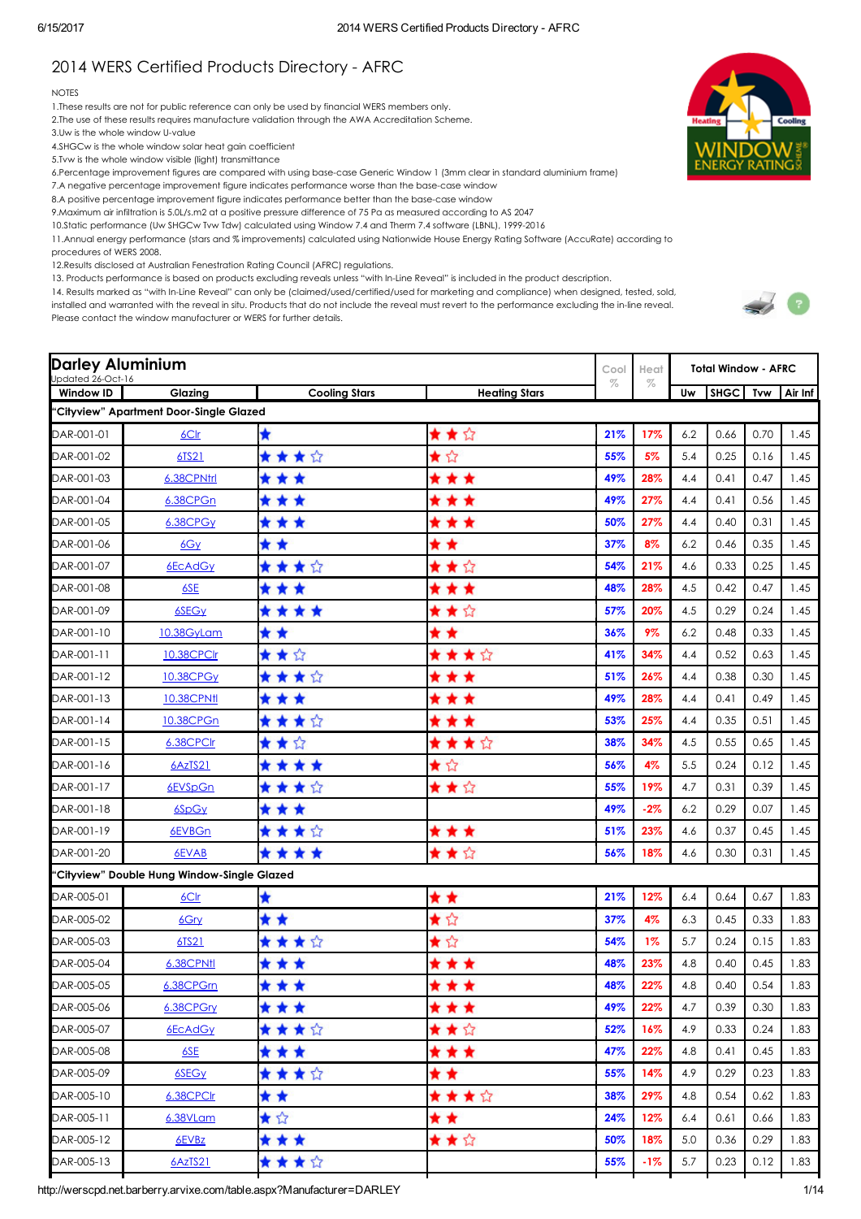# 2014 WERS Certified Products Directory - AFRC

#### **NOTES**

1.These results are not for public reference can only be used by financial WERS members only.

2.The use of these results requires manufacture validation through the AWA Accreditation Scheme.

3.Uw is the whole window U-value

4.SHGCw is the whole window solar heat gain coefficient

5.Tvw is the whole window visible (light) transmittance

6.Percentage improvement figures are compared with using basecase Generic Window 1 (3mm clear in standard aluminium frame)

7.A negative percentage improvement figure indicates performance worse than the base-case window

8.A positive percentage improvement figure indicates performance better than the base-case window

9.Maximum air infiltration is 5.0L/s.m2 at a positive pressure difference of 75 Pa as measured according to AS 2047

10.Static performance (Uw SHGCw Tvw Tdw) calculated using Window 7.4 and Therm 7.4 software (LBNL), 1999-2016

11.Annual energy performance (stars and % improvements) calculated using Nationwide House Energy Rating Software (AccuRate) according to

procedures of WERS 2008.

12.Results disclosed at Australian Fenestration Rating Council (AFRC) regulations.

13. Products performance is based on products excluding reveals unless "with InLine Reveal" is included in the product description.

14. Results marked as "with InLine Reveal" can only be (claimed/used/certified/used for marketing and compliance) when designed, tested, sold, installed and warranted with the reveal in situ. Products that do not include the reveal must revert to the performance excluding the in-line reveal.

Please contact the window manufacturer or WERS for further details.



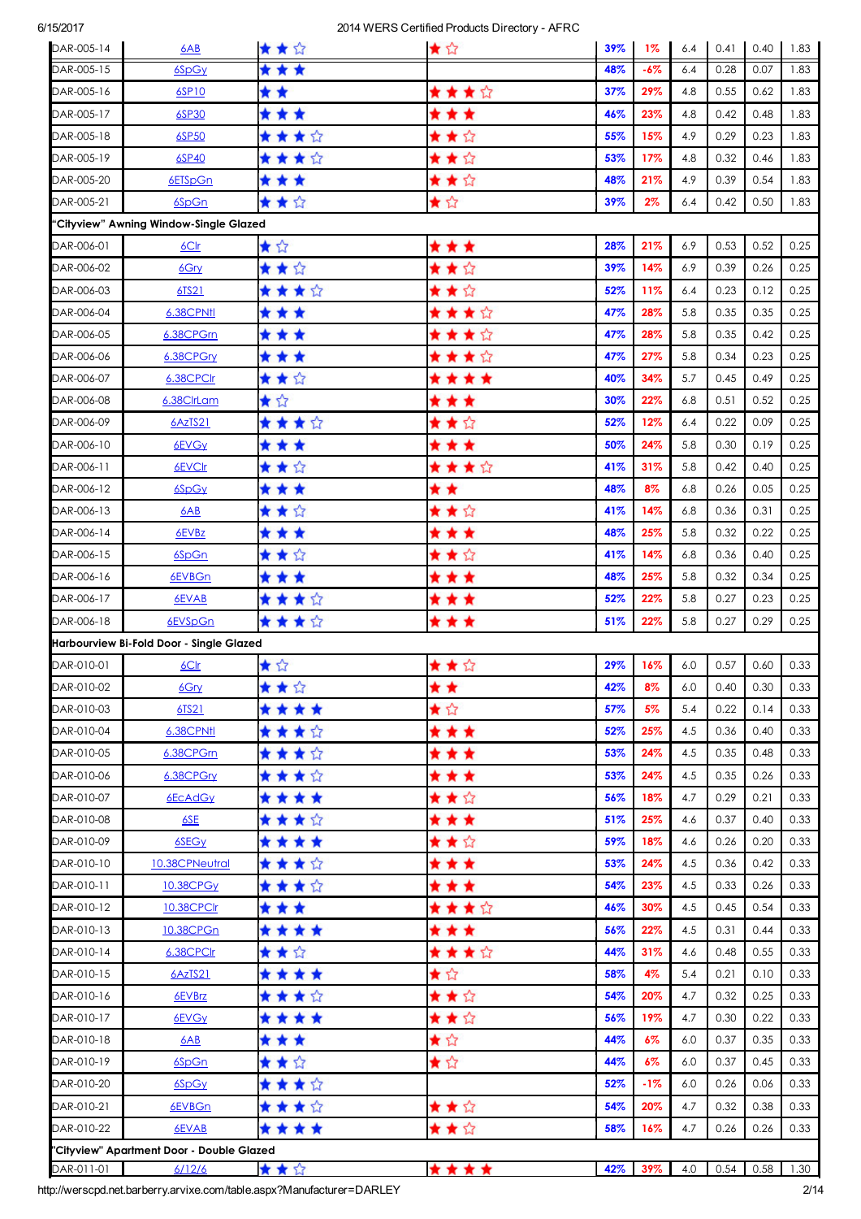| * * *<br>6SpGy<br>48%<br>$-6%$<br>6.4<br>0.28<br>0.07<br>1.83<br>* *<br>★★★☆<br>29%<br>6SP10<br>37%<br>4.8<br>0.55<br>0.62<br>1.83<br>* * *<br>23%<br>0.42<br>0.48<br>1.83<br>6SP30<br>* * *<br>46%<br>4.8<br>★ ★ ★ ☆<br>★★☆<br>6SP50<br>55%<br>15%<br>4.9<br>0.29<br>0.23<br>1.83<br>****<br>★★☆<br>1.83<br>6SP40<br>53%<br>17%<br>4.8<br>0.32<br>0.46<br>★★☆<br>* * *<br>48%<br>21%<br>4.9<br>0.39<br>0.54<br>1.83<br>6ETSpGn<br>★☆<br>★★☆<br>39%<br>0.42<br>0.50<br>1.83<br>6SpGn<br>$2\%$<br>6.4<br>"Cityview" Awning Window-Single Glazed<br>★☆<br>0.52<br>* * *<br>28%<br>21%<br>6.9<br>0.53<br>0.25<br>6C <sub>lr</sub><br>★★☆<br>★★☆<br>14%<br>0.26<br>0.25<br>6.9<br>0.39<br>6Gry<br>39%<br>★★★☆<br>★★☆<br>11%<br>6.4<br>0.12<br>0.25<br>6TS21<br>52%<br>0.23<br>* * *<br>★★★☆<br>47%<br>28%<br>5.8<br>0.35<br>0.35<br>0.25<br>6.38CPN11<br>* * *<br>★★★☆<br>47%<br>28%<br>5.8<br>0.35<br>0.42<br>0.25<br>6.38CPGrn<br>* * *<br>★★★☆<br>0.25<br>27%<br>5.8<br>0.34<br>0.23<br>6.38CPGry<br>47%<br>★★☆<br>****<br>6.38CPCIr<br>40%<br>34%<br>5.7<br>0.45<br>0.49<br>0.25<br>★☆<br>* * *<br>22%<br>0.52<br>0.25<br>6.38ClrLam<br>30%<br>6.8<br>0.51<br>****<br>★★☆<br>12%<br>52%<br>6.4<br>0.22<br>0.09<br>0.25<br>6AzTS21<br>* * *<br>* * *<br>50%<br>24%<br>5.8<br>0.30<br>0.19<br>0.25<br>6EVG <sub>Y</sub><br>★★☆<br>★★★☆<br>31%<br>5.8<br>0.42<br>0.40<br>0.25<br>6EVCIr<br>41%<br>* * *<br>* *<br>48%<br>8%<br>6.8<br>0.26<br>0.05<br>0.25<br>6SpGy<br>★★☆<br>★★☆<br>14%<br>6.8<br>0.36<br>0.31<br>0.25<br>6AB<br>41%<br>* * *<br>* * *<br>48%<br>25%<br>5.8<br>0.32<br>0.22<br>0.25<br>6EVBz<br>★★☆<br>★★☆<br>14%<br>6.8<br>0.36<br>0.40<br>0.25<br>6SpGn<br>41%<br>* * *<br>* * *<br>25%<br>5.8<br>0.32<br>0.34<br>0.25<br>6EVBGn<br>48%<br>★★★☆<br>* * *<br>22%<br>0.27<br>0.23<br>0.25<br>6EVAB<br>52%<br>5.8<br>★★★☆<br>***<br>0.29<br>0.25<br>6EVSpGn<br>22%<br>5.8<br>0.27<br>51%<br>Harbourview Bi-Fold Door - Single Glazed<br>★☆<br>★★☆<br>29%<br>16%<br>0.57<br>0.60<br>0.33<br>6.0<br><u>6Clr</u><br>★★☆<br>6Gry<br>* *<br>42%<br>8%<br>6.0<br>0.40<br>0.30<br>0.33<br>★☆<br>****<br>57%<br>5%<br>5.4<br>0.22<br>0.14<br>0.33<br>6TS21<br>* * *<br><b>6.38CPN11</b><br>★★★☆<br>52%<br>25%<br>4.5<br>0.36<br>0.33<br>0.40<br>* * *<br>53%<br>24%<br>4.5<br>0.35<br>0.33<br>6.38CPGm<br>★★★☆<br>0.48<br>★ ★ ★ ☆<br>* * *<br>24%<br>4.5<br>0.35<br>0.26<br>0.33<br>6.38CPGry<br>53%<br>****<br>★★☆<br>18%<br>0.29<br>0.33<br>6EcAdGy<br>56%<br>4.7<br>0.21<br>★★★☆<br>* * *<br>25%<br>4.6<br>0.37<br>0.40<br>0.33<br>6SE<br>51%<br>****<br>★★☆<br>18%<br>4.6<br>0.20<br>0.33<br>6SEG <sub>Y</sub><br>59%<br>0.26<br>★★★☆<br>* * *<br>10.38CPNeutral<br>53%<br>24%<br>4.5<br>0.36<br>0.42<br>0.33<br>★★★☆<br>* * *<br>54%<br>23%<br>4.5<br>0.33<br>0.26<br>0.33<br>10.38CPGy<br>***<br>★★★☆<br>10.38CPClr<br>46%<br>30%<br>4.5<br>0.45<br>0.54<br>0.33<br>****<br>* * *<br>22%<br>4.5<br>0.33<br>10.38CPGn<br>56%<br>0.31<br>0.44<br>****<br>★★☆<br>31%<br>0.48<br>0.55<br>0.33<br>6.38CPClr<br>44%<br>4.6<br>★☆<br>****<br>0.33<br>6AzTS21<br>58%<br>4%<br>5.4<br>0.21<br>0.10<br>★★☆<br>★★★☆<br>20%<br>4.7<br>0.32<br>0.25<br>0.33<br>6EVBrz<br>54%<br>★★☆<br>****<br>19%<br>4.7<br>0.30<br>0.22<br>0.33<br>6EVGy<br>56%<br>★☆<br>* * *<br>44%<br>6%<br>0.37<br>0.35<br>0.33<br>6AB<br>6.0<br>★☆<br>★★☆<br>44%<br>0.37<br>0.45<br>0.33<br>6SpGn<br>6%<br>6.0<br>★ ★ ★ ☆<br>6SpGy<br>52%<br>$-1%$<br>6.0<br>0.26<br>0.06<br>0.33<br>★ ★ ★ ☆<br>★★☆<br>20%<br>4.7<br>0.32<br>0.38<br>0.33<br>6EVBGn<br>54%<br>★★☆<br>****<br>0.33<br>58%<br>16%<br>4.7<br>0.26<br>0.26<br>6EVAB<br>"Cityview" Apartment Door - Double Glazed<br>****<br>★★☆<br>42% 39%<br>6/12/6<br>4.0<br>$0.54$ 0.58 1.30<br>DAR-011-01 | DAR-005-14 | 6AB | ★★☆ | ★☆ | 39% | $1\%$ | 6.4 | 0.41 | 0.40 | 1.83 |
|--------------------------------------------------------------------------------------------------------------------------------------------------------------------------------------------------------------------------------------------------------------------------------------------------------------------------------------------------------------------------------------------------------------------------------------------------------------------------------------------------------------------------------------------------------------------------------------------------------------------------------------------------------------------------------------------------------------------------------------------------------------------------------------------------------------------------------------------------------------------------------------------------------------------------------------------------------------------------------------------------------------------------------------------------------------------------------------------------------------------------------------------------------------------------------------------------------------------------------------------------------------------------------------------------------------------------------------------------------------------------------------------------------------------------------------------------------------------------------------------------------------------------------------------------------------------------------------------------------------------------------------------------------------------------------------------------------------------------------------------------------------------------------------------------------------------------------------------------------------------------------------------------------------------------------------------------------------------------------------------------------------------------------------------------------------------------------------------------------------------------------------------------------------------------------------------------------------------------------------------------------------------------------------------------------------------------------------------------------------------------------------------------------------------------------------------------------------------------------------------------------------------------------------------------------------------------------------------------------------------------------------------------------------------------------------------------------------------------------------------------------------------------------------------------------------------------------------------------------------------------------------------------------------------------------------------------------------------------------------------------------------------------------------------------------------------------------------------------------------------------------------------------------------------------------------------------------------------------------------------------------------------------------------------------------------------------------------------------------------------------------------------------------------------------------------------------------------------------------------------------------------------------------------------------------------------------------------------------------------------------------------------------------------------------------------------------------------------------------|------------|-----|-----|----|-----|-------|-----|------|------|------|
|                                                                                                                                                                                                                                                                                                                                                                                                                                                                                                                                                                                                                                                                                                                                                                                                                                                                                                                                                                                                                                                                                                                                                                                                                                                                                                                                                                                                                                                                                                                                                                                                                                                                                                                                                                                                                                                                                                                                                                                                                                                                                                                                                                                                                                                                                                                                                                                                                                                                                                                                                                                                                                                                                                                                                                                                                                                                                                                                                                                                                                                                                                                                                                                                                                                                                                                                                                                                                                                                                                                                                                                                                                                                                                                                | DAR-005-15 |     |     |    |     |       |     |      |      |      |
|                                                                                                                                                                                                                                                                                                                                                                                                                                                                                                                                                                                                                                                                                                                                                                                                                                                                                                                                                                                                                                                                                                                                                                                                                                                                                                                                                                                                                                                                                                                                                                                                                                                                                                                                                                                                                                                                                                                                                                                                                                                                                                                                                                                                                                                                                                                                                                                                                                                                                                                                                                                                                                                                                                                                                                                                                                                                                                                                                                                                                                                                                                                                                                                                                                                                                                                                                                                                                                                                                                                                                                                                                                                                                                                                | DAR-005-16 |     |     |    |     |       |     |      |      |      |
|                                                                                                                                                                                                                                                                                                                                                                                                                                                                                                                                                                                                                                                                                                                                                                                                                                                                                                                                                                                                                                                                                                                                                                                                                                                                                                                                                                                                                                                                                                                                                                                                                                                                                                                                                                                                                                                                                                                                                                                                                                                                                                                                                                                                                                                                                                                                                                                                                                                                                                                                                                                                                                                                                                                                                                                                                                                                                                                                                                                                                                                                                                                                                                                                                                                                                                                                                                                                                                                                                                                                                                                                                                                                                                                                | DAR-005-17 |     |     |    |     |       |     |      |      |      |
|                                                                                                                                                                                                                                                                                                                                                                                                                                                                                                                                                                                                                                                                                                                                                                                                                                                                                                                                                                                                                                                                                                                                                                                                                                                                                                                                                                                                                                                                                                                                                                                                                                                                                                                                                                                                                                                                                                                                                                                                                                                                                                                                                                                                                                                                                                                                                                                                                                                                                                                                                                                                                                                                                                                                                                                                                                                                                                                                                                                                                                                                                                                                                                                                                                                                                                                                                                                                                                                                                                                                                                                                                                                                                                                                | DAR-005-18 |     |     |    |     |       |     |      |      |      |
|                                                                                                                                                                                                                                                                                                                                                                                                                                                                                                                                                                                                                                                                                                                                                                                                                                                                                                                                                                                                                                                                                                                                                                                                                                                                                                                                                                                                                                                                                                                                                                                                                                                                                                                                                                                                                                                                                                                                                                                                                                                                                                                                                                                                                                                                                                                                                                                                                                                                                                                                                                                                                                                                                                                                                                                                                                                                                                                                                                                                                                                                                                                                                                                                                                                                                                                                                                                                                                                                                                                                                                                                                                                                                                                                | DAR-005-19 |     |     |    |     |       |     |      |      |      |
|                                                                                                                                                                                                                                                                                                                                                                                                                                                                                                                                                                                                                                                                                                                                                                                                                                                                                                                                                                                                                                                                                                                                                                                                                                                                                                                                                                                                                                                                                                                                                                                                                                                                                                                                                                                                                                                                                                                                                                                                                                                                                                                                                                                                                                                                                                                                                                                                                                                                                                                                                                                                                                                                                                                                                                                                                                                                                                                                                                                                                                                                                                                                                                                                                                                                                                                                                                                                                                                                                                                                                                                                                                                                                                                                | DAR-005-20 |     |     |    |     |       |     |      |      |      |
|                                                                                                                                                                                                                                                                                                                                                                                                                                                                                                                                                                                                                                                                                                                                                                                                                                                                                                                                                                                                                                                                                                                                                                                                                                                                                                                                                                                                                                                                                                                                                                                                                                                                                                                                                                                                                                                                                                                                                                                                                                                                                                                                                                                                                                                                                                                                                                                                                                                                                                                                                                                                                                                                                                                                                                                                                                                                                                                                                                                                                                                                                                                                                                                                                                                                                                                                                                                                                                                                                                                                                                                                                                                                                                                                | DAR-005-21 |     |     |    |     |       |     |      |      |      |
|                                                                                                                                                                                                                                                                                                                                                                                                                                                                                                                                                                                                                                                                                                                                                                                                                                                                                                                                                                                                                                                                                                                                                                                                                                                                                                                                                                                                                                                                                                                                                                                                                                                                                                                                                                                                                                                                                                                                                                                                                                                                                                                                                                                                                                                                                                                                                                                                                                                                                                                                                                                                                                                                                                                                                                                                                                                                                                                                                                                                                                                                                                                                                                                                                                                                                                                                                                                                                                                                                                                                                                                                                                                                                                                                |            |     |     |    |     |       |     |      |      |      |
|                                                                                                                                                                                                                                                                                                                                                                                                                                                                                                                                                                                                                                                                                                                                                                                                                                                                                                                                                                                                                                                                                                                                                                                                                                                                                                                                                                                                                                                                                                                                                                                                                                                                                                                                                                                                                                                                                                                                                                                                                                                                                                                                                                                                                                                                                                                                                                                                                                                                                                                                                                                                                                                                                                                                                                                                                                                                                                                                                                                                                                                                                                                                                                                                                                                                                                                                                                                                                                                                                                                                                                                                                                                                                                                                | DAR-006-01 |     |     |    |     |       |     |      |      |      |
|                                                                                                                                                                                                                                                                                                                                                                                                                                                                                                                                                                                                                                                                                                                                                                                                                                                                                                                                                                                                                                                                                                                                                                                                                                                                                                                                                                                                                                                                                                                                                                                                                                                                                                                                                                                                                                                                                                                                                                                                                                                                                                                                                                                                                                                                                                                                                                                                                                                                                                                                                                                                                                                                                                                                                                                                                                                                                                                                                                                                                                                                                                                                                                                                                                                                                                                                                                                                                                                                                                                                                                                                                                                                                                                                | DAR-006-02 |     |     |    |     |       |     |      |      |      |
|                                                                                                                                                                                                                                                                                                                                                                                                                                                                                                                                                                                                                                                                                                                                                                                                                                                                                                                                                                                                                                                                                                                                                                                                                                                                                                                                                                                                                                                                                                                                                                                                                                                                                                                                                                                                                                                                                                                                                                                                                                                                                                                                                                                                                                                                                                                                                                                                                                                                                                                                                                                                                                                                                                                                                                                                                                                                                                                                                                                                                                                                                                                                                                                                                                                                                                                                                                                                                                                                                                                                                                                                                                                                                                                                | DAR-006-03 |     |     |    |     |       |     |      |      |      |
|                                                                                                                                                                                                                                                                                                                                                                                                                                                                                                                                                                                                                                                                                                                                                                                                                                                                                                                                                                                                                                                                                                                                                                                                                                                                                                                                                                                                                                                                                                                                                                                                                                                                                                                                                                                                                                                                                                                                                                                                                                                                                                                                                                                                                                                                                                                                                                                                                                                                                                                                                                                                                                                                                                                                                                                                                                                                                                                                                                                                                                                                                                                                                                                                                                                                                                                                                                                                                                                                                                                                                                                                                                                                                                                                | DAR-006-04 |     |     |    |     |       |     |      |      |      |
|                                                                                                                                                                                                                                                                                                                                                                                                                                                                                                                                                                                                                                                                                                                                                                                                                                                                                                                                                                                                                                                                                                                                                                                                                                                                                                                                                                                                                                                                                                                                                                                                                                                                                                                                                                                                                                                                                                                                                                                                                                                                                                                                                                                                                                                                                                                                                                                                                                                                                                                                                                                                                                                                                                                                                                                                                                                                                                                                                                                                                                                                                                                                                                                                                                                                                                                                                                                                                                                                                                                                                                                                                                                                                                                                | DAR-006-05 |     |     |    |     |       |     |      |      |      |
|                                                                                                                                                                                                                                                                                                                                                                                                                                                                                                                                                                                                                                                                                                                                                                                                                                                                                                                                                                                                                                                                                                                                                                                                                                                                                                                                                                                                                                                                                                                                                                                                                                                                                                                                                                                                                                                                                                                                                                                                                                                                                                                                                                                                                                                                                                                                                                                                                                                                                                                                                                                                                                                                                                                                                                                                                                                                                                                                                                                                                                                                                                                                                                                                                                                                                                                                                                                                                                                                                                                                                                                                                                                                                                                                | DAR-006-06 |     |     |    |     |       |     |      |      |      |
|                                                                                                                                                                                                                                                                                                                                                                                                                                                                                                                                                                                                                                                                                                                                                                                                                                                                                                                                                                                                                                                                                                                                                                                                                                                                                                                                                                                                                                                                                                                                                                                                                                                                                                                                                                                                                                                                                                                                                                                                                                                                                                                                                                                                                                                                                                                                                                                                                                                                                                                                                                                                                                                                                                                                                                                                                                                                                                                                                                                                                                                                                                                                                                                                                                                                                                                                                                                                                                                                                                                                                                                                                                                                                                                                | DAR-006-07 |     |     |    |     |       |     |      |      |      |
|                                                                                                                                                                                                                                                                                                                                                                                                                                                                                                                                                                                                                                                                                                                                                                                                                                                                                                                                                                                                                                                                                                                                                                                                                                                                                                                                                                                                                                                                                                                                                                                                                                                                                                                                                                                                                                                                                                                                                                                                                                                                                                                                                                                                                                                                                                                                                                                                                                                                                                                                                                                                                                                                                                                                                                                                                                                                                                                                                                                                                                                                                                                                                                                                                                                                                                                                                                                                                                                                                                                                                                                                                                                                                                                                | DAR-006-08 |     |     |    |     |       |     |      |      |      |
|                                                                                                                                                                                                                                                                                                                                                                                                                                                                                                                                                                                                                                                                                                                                                                                                                                                                                                                                                                                                                                                                                                                                                                                                                                                                                                                                                                                                                                                                                                                                                                                                                                                                                                                                                                                                                                                                                                                                                                                                                                                                                                                                                                                                                                                                                                                                                                                                                                                                                                                                                                                                                                                                                                                                                                                                                                                                                                                                                                                                                                                                                                                                                                                                                                                                                                                                                                                                                                                                                                                                                                                                                                                                                                                                | DAR-006-09 |     |     |    |     |       |     |      |      |      |
|                                                                                                                                                                                                                                                                                                                                                                                                                                                                                                                                                                                                                                                                                                                                                                                                                                                                                                                                                                                                                                                                                                                                                                                                                                                                                                                                                                                                                                                                                                                                                                                                                                                                                                                                                                                                                                                                                                                                                                                                                                                                                                                                                                                                                                                                                                                                                                                                                                                                                                                                                                                                                                                                                                                                                                                                                                                                                                                                                                                                                                                                                                                                                                                                                                                                                                                                                                                                                                                                                                                                                                                                                                                                                                                                | DAR-006-10 |     |     |    |     |       |     |      |      |      |
|                                                                                                                                                                                                                                                                                                                                                                                                                                                                                                                                                                                                                                                                                                                                                                                                                                                                                                                                                                                                                                                                                                                                                                                                                                                                                                                                                                                                                                                                                                                                                                                                                                                                                                                                                                                                                                                                                                                                                                                                                                                                                                                                                                                                                                                                                                                                                                                                                                                                                                                                                                                                                                                                                                                                                                                                                                                                                                                                                                                                                                                                                                                                                                                                                                                                                                                                                                                                                                                                                                                                                                                                                                                                                                                                | DAR-006-11 |     |     |    |     |       |     |      |      |      |
|                                                                                                                                                                                                                                                                                                                                                                                                                                                                                                                                                                                                                                                                                                                                                                                                                                                                                                                                                                                                                                                                                                                                                                                                                                                                                                                                                                                                                                                                                                                                                                                                                                                                                                                                                                                                                                                                                                                                                                                                                                                                                                                                                                                                                                                                                                                                                                                                                                                                                                                                                                                                                                                                                                                                                                                                                                                                                                                                                                                                                                                                                                                                                                                                                                                                                                                                                                                                                                                                                                                                                                                                                                                                                                                                | DAR-006-12 |     |     |    |     |       |     |      |      |      |
|                                                                                                                                                                                                                                                                                                                                                                                                                                                                                                                                                                                                                                                                                                                                                                                                                                                                                                                                                                                                                                                                                                                                                                                                                                                                                                                                                                                                                                                                                                                                                                                                                                                                                                                                                                                                                                                                                                                                                                                                                                                                                                                                                                                                                                                                                                                                                                                                                                                                                                                                                                                                                                                                                                                                                                                                                                                                                                                                                                                                                                                                                                                                                                                                                                                                                                                                                                                                                                                                                                                                                                                                                                                                                                                                | DAR-006-13 |     |     |    |     |       |     |      |      |      |
|                                                                                                                                                                                                                                                                                                                                                                                                                                                                                                                                                                                                                                                                                                                                                                                                                                                                                                                                                                                                                                                                                                                                                                                                                                                                                                                                                                                                                                                                                                                                                                                                                                                                                                                                                                                                                                                                                                                                                                                                                                                                                                                                                                                                                                                                                                                                                                                                                                                                                                                                                                                                                                                                                                                                                                                                                                                                                                                                                                                                                                                                                                                                                                                                                                                                                                                                                                                                                                                                                                                                                                                                                                                                                                                                | DAR-006-14 |     |     |    |     |       |     |      |      |      |
|                                                                                                                                                                                                                                                                                                                                                                                                                                                                                                                                                                                                                                                                                                                                                                                                                                                                                                                                                                                                                                                                                                                                                                                                                                                                                                                                                                                                                                                                                                                                                                                                                                                                                                                                                                                                                                                                                                                                                                                                                                                                                                                                                                                                                                                                                                                                                                                                                                                                                                                                                                                                                                                                                                                                                                                                                                                                                                                                                                                                                                                                                                                                                                                                                                                                                                                                                                                                                                                                                                                                                                                                                                                                                                                                | DAR-006-15 |     |     |    |     |       |     |      |      |      |
|                                                                                                                                                                                                                                                                                                                                                                                                                                                                                                                                                                                                                                                                                                                                                                                                                                                                                                                                                                                                                                                                                                                                                                                                                                                                                                                                                                                                                                                                                                                                                                                                                                                                                                                                                                                                                                                                                                                                                                                                                                                                                                                                                                                                                                                                                                                                                                                                                                                                                                                                                                                                                                                                                                                                                                                                                                                                                                                                                                                                                                                                                                                                                                                                                                                                                                                                                                                                                                                                                                                                                                                                                                                                                                                                | DAR-006-16 |     |     |    |     |       |     |      |      |      |
|                                                                                                                                                                                                                                                                                                                                                                                                                                                                                                                                                                                                                                                                                                                                                                                                                                                                                                                                                                                                                                                                                                                                                                                                                                                                                                                                                                                                                                                                                                                                                                                                                                                                                                                                                                                                                                                                                                                                                                                                                                                                                                                                                                                                                                                                                                                                                                                                                                                                                                                                                                                                                                                                                                                                                                                                                                                                                                                                                                                                                                                                                                                                                                                                                                                                                                                                                                                                                                                                                                                                                                                                                                                                                                                                | DAR-006-17 |     |     |    |     |       |     |      |      |      |
|                                                                                                                                                                                                                                                                                                                                                                                                                                                                                                                                                                                                                                                                                                                                                                                                                                                                                                                                                                                                                                                                                                                                                                                                                                                                                                                                                                                                                                                                                                                                                                                                                                                                                                                                                                                                                                                                                                                                                                                                                                                                                                                                                                                                                                                                                                                                                                                                                                                                                                                                                                                                                                                                                                                                                                                                                                                                                                                                                                                                                                                                                                                                                                                                                                                                                                                                                                                                                                                                                                                                                                                                                                                                                                                                | DAR-006-18 |     |     |    |     |       |     |      |      |      |
|                                                                                                                                                                                                                                                                                                                                                                                                                                                                                                                                                                                                                                                                                                                                                                                                                                                                                                                                                                                                                                                                                                                                                                                                                                                                                                                                                                                                                                                                                                                                                                                                                                                                                                                                                                                                                                                                                                                                                                                                                                                                                                                                                                                                                                                                                                                                                                                                                                                                                                                                                                                                                                                                                                                                                                                                                                                                                                                                                                                                                                                                                                                                                                                                                                                                                                                                                                                                                                                                                                                                                                                                                                                                                                                                |            |     |     |    |     |       |     |      |      |      |
|                                                                                                                                                                                                                                                                                                                                                                                                                                                                                                                                                                                                                                                                                                                                                                                                                                                                                                                                                                                                                                                                                                                                                                                                                                                                                                                                                                                                                                                                                                                                                                                                                                                                                                                                                                                                                                                                                                                                                                                                                                                                                                                                                                                                                                                                                                                                                                                                                                                                                                                                                                                                                                                                                                                                                                                                                                                                                                                                                                                                                                                                                                                                                                                                                                                                                                                                                                                                                                                                                                                                                                                                                                                                                                                                | DAR-010-01 |     |     |    |     |       |     |      |      |      |
|                                                                                                                                                                                                                                                                                                                                                                                                                                                                                                                                                                                                                                                                                                                                                                                                                                                                                                                                                                                                                                                                                                                                                                                                                                                                                                                                                                                                                                                                                                                                                                                                                                                                                                                                                                                                                                                                                                                                                                                                                                                                                                                                                                                                                                                                                                                                                                                                                                                                                                                                                                                                                                                                                                                                                                                                                                                                                                                                                                                                                                                                                                                                                                                                                                                                                                                                                                                                                                                                                                                                                                                                                                                                                                                                | DAR-010-02 |     |     |    |     |       |     |      |      |      |
|                                                                                                                                                                                                                                                                                                                                                                                                                                                                                                                                                                                                                                                                                                                                                                                                                                                                                                                                                                                                                                                                                                                                                                                                                                                                                                                                                                                                                                                                                                                                                                                                                                                                                                                                                                                                                                                                                                                                                                                                                                                                                                                                                                                                                                                                                                                                                                                                                                                                                                                                                                                                                                                                                                                                                                                                                                                                                                                                                                                                                                                                                                                                                                                                                                                                                                                                                                                                                                                                                                                                                                                                                                                                                                                                | DAR-010-03 |     |     |    |     |       |     |      |      |      |
|                                                                                                                                                                                                                                                                                                                                                                                                                                                                                                                                                                                                                                                                                                                                                                                                                                                                                                                                                                                                                                                                                                                                                                                                                                                                                                                                                                                                                                                                                                                                                                                                                                                                                                                                                                                                                                                                                                                                                                                                                                                                                                                                                                                                                                                                                                                                                                                                                                                                                                                                                                                                                                                                                                                                                                                                                                                                                                                                                                                                                                                                                                                                                                                                                                                                                                                                                                                                                                                                                                                                                                                                                                                                                                                                | DAR-010-04 |     |     |    |     |       |     |      |      |      |
|                                                                                                                                                                                                                                                                                                                                                                                                                                                                                                                                                                                                                                                                                                                                                                                                                                                                                                                                                                                                                                                                                                                                                                                                                                                                                                                                                                                                                                                                                                                                                                                                                                                                                                                                                                                                                                                                                                                                                                                                                                                                                                                                                                                                                                                                                                                                                                                                                                                                                                                                                                                                                                                                                                                                                                                                                                                                                                                                                                                                                                                                                                                                                                                                                                                                                                                                                                                                                                                                                                                                                                                                                                                                                                                                | DAR-010-05 |     |     |    |     |       |     |      |      |      |
|                                                                                                                                                                                                                                                                                                                                                                                                                                                                                                                                                                                                                                                                                                                                                                                                                                                                                                                                                                                                                                                                                                                                                                                                                                                                                                                                                                                                                                                                                                                                                                                                                                                                                                                                                                                                                                                                                                                                                                                                                                                                                                                                                                                                                                                                                                                                                                                                                                                                                                                                                                                                                                                                                                                                                                                                                                                                                                                                                                                                                                                                                                                                                                                                                                                                                                                                                                                                                                                                                                                                                                                                                                                                                                                                | DAR-010-06 |     |     |    |     |       |     |      |      |      |
|                                                                                                                                                                                                                                                                                                                                                                                                                                                                                                                                                                                                                                                                                                                                                                                                                                                                                                                                                                                                                                                                                                                                                                                                                                                                                                                                                                                                                                                                                                                                                                                                                                                                                                                                                                                                                                                                                                                                                                                                                                                                                                                                                                                                                                                                                                                                                                                                                                                                                                                                                                                                                                                                                                                                                                                                                                                                                                                                                                                                                                                                                                                                                                                                                                                                                                                                                                                                                                                                                                                                                                                                                                                                                                                                | DAR-010-07 |     |     |    |     |       |     |      |      |      |
|                                                                                                                                                                                                                                                                                                                                                                                                                                                                                                                                                                                                                                                                                                                                                                                                                                                                                                                                                                                                                                                                                                                                                                                                                                                                                                                                                                                                                                                                                                                                                                                                                                                                                                                                                                                                                                                                                                                                                                                                                                                                                                                                                                                                                                                                                                                                                                                                                                                                                                                                                                                                                                                                                                                                                                                                                                                                                                                                                                                                                                                                                                                                                                                                                                                                                                                                                                                                                                                                                                                                                                                                                                                                                                                                | DAR-010-08 |     |     |    |     |       |     |      |      |      |
|                                                                                                                                                                                                                                                                                                                                                                                                                                                                                                                                                                                                                                                                                                                                                                                                                                                                                                                                                                                                                                                                                                                                                                                                                                                                                                                                                                                                                                                                                                                                                                                                                                                                                                                                                                                                                                                                                                                                                                                                                                                                                                                                                                                                                                                                                                                                                                                                                                                                                                                                                                                                                                                                                                                                                                                                                                                                                                                                                                                                                                                                                                                                                                                                                                                                                                                                                                                                                                                                                                                                                                                                                                                                                                                                | DAR-010-09 |     |     |    |     |       |     |      |      |      |
|                                                                                                                                                                                                                                                                                                                                                                                                                                                                                                                                                                                                                                                                                                                                                                                                                                                                                                                                                                                                                                                                                                                                                                                                                                                                                                                                                                                                                                                                                                                                                                                                                                                                                                                                                                                                                                                                                                                                                                                                                                                                                                                                                                                                                                                                                                                                                                                                                                                                                                                                                                                                                                                                                                                                                                                                                                                                                                                                                                                                                                                                                                                                                                                                                                                                                                                                                                                                                                                                                                                                                                                                                                                                                                                                | DAR-010-10 |     |     |    |     |       |     |      |      |      |
|                                                                                                                                                                                                                                                                                                                                                                                                                                                                                                                                                                                                                                                                                                                                                                                                                                                                                                                                                                                                                                                                                                                                                                                                                                                                                                                                                                                                                                                                                                                                                                                                                                                                                                                                                                                                                                                                                                                                                                                                                                                                                                                                                                                                                                                                                                                                                                                                                                                                                                                                                                                                                                                                                                                                                                                                                                                                                                                                                                                                                                                                                                                                                                                                                                                                                                                                                                                                                                                                                                                                                                                                                                                                                                                                | DAR-010-11 |     |     |    |     |       |     |      |      |      |
|                                                                                                                                                                                                                                                                                                                                                                                                                                                                                                                                                                                                                                                                                                                                                                                                                                                                                                                                                                                                                                                                                                                                                                                                                                                                                                                                                                                                                                                                                                                                                                                                                                                                                                                                                                                                                                                                                                                                                                                                                                                                                                                                                                                                                                                                                                                                                                                                                                                                                                                                                                                                                                                                                                                                                                                                                                                                                                                                                                                                                                                                                                                                                                                                                                                                                                                                                                                                                                                                                                                                                                                                                                                                                                                                | DAR-010-12 |     |     |    |     |       |     |      |      |      |
|                                                                                                                                                                                                                                                                                                                                                                                                                                                                                                                                                                                                                                                                                                                                                                                                                                                                                                                                                                                                                                                                                                                                                                                                                                                                                                                                                                                                                                                                                                                                                                                                                                                                                                                                                                                                                                                                                                                                                                                                                                                                                                                                                                                                                                                                                                                                                                                                                                                                                                                                                                                                                                                                                                                                                                                                                                                                                                                                                                                                                                                                                                                                                                                                                                                                                                                                                                                                                                                                                                                                                                                                                                                                                                                                | DAR-010-13 |     |     |    |     |       |     |      |      |      |
|                                                                                                                                                                                                                                                                                                                                                                                                                                                                                                                                                                                                                                                                                                                                                                                                                                                                                                                                                                                                                                                                                                                                                                                                                                                                                                                                                                                                                                                                                                                                                                                                                                                                                                                                                                                                                                                                                                                                                                                                                                                                                                                                                                                                                                                                                                                                                                                                                                                                                                                                                                                                                                                                                                                                                                                                                                                                                                                                                                                                                                                                                                                                                                                                                                                                                                                                                                                                                                                                                                                                                                                                                                                                                                                                | DAR-010-14 |     |     |    |     |       |     |      |      |      |
|                                                                                                                                                                                                                                                                                                                                                                                                                                                                                                                                                                                                                                                                                                                                                                                                                                                                                                                                                                                                                                                                                                                                                                                                                                                                                                                                                                                                                                                                                                                                                                                                                                                                                                                                                                                                                                                                                                                                                                                                                                                                                                                                                                                                                                                                                                                                                                                                                                                                                                                                                                                                                                                                                                                                                                                                                                                                                                                                                                                                                                                                                                                                                                                                                                                                                                                                                                                                                                                                                                                                                                                                                                                                                                                                | DAR-010-15 |     |     |    |     |       |     |      |      |      |
|                                                                                                                                                                                                                                                                                                                                                                                                                                                                                                                                                                                                                                                                                                                                                                                                                                                                                                                                                                                                                                                                                                                                                                                                                                                                                                                                                                                                                                                                                                                                                                                                                                                                                                                                                                                                                                                                                                                                                                                                                                                                                                                                                                                                                                                                                                                                                                                                                                                                                                                                                                                                                                                                                                                                                                                                                                                                                                                                                                                                                                                                                                                                                                                                                                                                                                                                                                                                                                                                                                                                                                                                                                                                                                                                | DAR-010-16 |     |     |    |     |       |     |      |      |      |
|                                                                                                                                                                                                                                                                                                                                                                                                                                                                                                                                                                                                                                                                                                                                                                                                                                                                                                                                                                                                                                                                                                                                                                                                                                                                                                                                                                                                                                                                                                                                                                                                                                                                                                                                                                                                                                                                                                                                                                                                                                                                                                                                                                                                                                                                                                                                                                                                                                                                                                                                                                                                                                                                                                                                                                                                                                                                                                                                                                                                                                                                                                                                                                                                                                                                                                                                                                                                                                                                                                                                                                                                                                                                                                                                | DAR-010-17 |     |     |    |     |       |     |      |      |      |
|                                                                                                                                                                                                                                                                                                                                                                                                                                                                                                                                                                                                                                                                                                                                                                                                                                                                                                                                                                                                                                                                                                                                                                                                                                                                                                                                                                                                                                                                                                                                                                                                                                                                                                                                                                                                                                                                                                                                                                                                                                                                                                                                                                                                                                                                                                                                                                                                                                                                                                                                                                                                                                                                                                                                                                                                                                                                                                                                                                                                                                                                                                                                                                                                                                                                                                                                                                                                                                                                                                                                                                                                                                                                                                                                | DAR-010-18 |     |     |    |     |       |     |      |      |      |
|                                                                                                                                                                                                                                                                                                                                                                                                                                                                                                                                                                                                                                                                                                                                                                                                                                                                                                                                                                                                                                                                                                                                                                                                                                                                                                                                                                                                                                                                                                                                                                                                                                                                                                                                                                                                                                                                                                                                                                                                                                                                                                                                                                                                                                                                                                                                                                                                                                                                                                                                                                                                                                                                                                                                                                                                                                                                                                                                                                                                                                                                                                                                                                                                                                                                                                                                                                                                                                                                                                                                                                                                                                                                                                                                | DAR-010-19 |     |     |    |     |       |     |      |      |      |
|                                                                                                                                                                                                                                                                                                                                                                                                                                                                                                                                                                                                                                                                                                                                                                                                                                                                                                                                                                                                                                                                                                                                                                                                                                                                                                                                                                                                                                                                                                                                                                                                                                                                                                                                                                                                                                                                                                                                                                                                                                                                                                                                                                                                                                                                                                                                                                                                                                                                                                                                                                                                                                                                                                                                                                                                                                                                                                                                                                                                                                                                                                                                                                                                                                                                                                                                                                                                                                                                                                                                                                                                                                                                                                                                | DAR-010-20 |     |     |    |     |       |     |      |      |      |
|                                                                                                                                                                                                                                                                                                                                                                                                                                                                                                                                                                                                                                                                                                                                                                                                                                                                                                                                                                                                                                                                                                                                                                                                                                                                                                                                                                                                                                                                                                                                                                                                                                                                                                                                                                                                                                                                                                                                                                                                                                                                                                                                                                                                                                                                                                                                                                                                                                                                                                                                                                                                                                                                                                                                                                                                                                                                                                                                                                                                                                                                                                                                                                                                                                                                                                                                                                                                                                                                                                                                                                                                                                                                                                                                | DAR-010-21 |     |     |    |     |       |     |      |      |      |
|                                                                                                                                                                                                                                                                                                                                                                                                                                                                                                                                                                                                                                                                                                                                                                                                                                                                                                                                                                                                                                                                                                                                                                                                                                                                                                                                                                                                                                                                                                                                                                                                                                                                                                                                                                                                                                                                                                                                                                                                                                                                                                                                                                                                                                                                                                                                                                                                                                                                                                                                                                                                                                                                                                                                                                                                                                                                                                                                                                                                                                                                                                                                                                                                                                                                                                                                                                                                                                                                                                                                                                                                                                                                                                                                | DAR-010-22 |     |     |    |     |       |     |      |      |      |
|                                                                                                                                                                                                                                                                                                                                                                                                                                                                                                                                                                                                                                                                                                                                                                                                                                                                                                                                                                                                                                                                                                                                                                                                                                                                                                                                                                                                                                                                                                                                                                                                                                                                                                                                                                                                                                                                                                                                                                                                                                                                                                                                                                                                                                                                                                                                                                                                                                                                                                                                                                                                                                                                                                                                                                                                                                                                                                                                                                                                                                                                                                                                                                                                                                                                                                                                                                                                                                                                                                                                                                                                                                                                                                                                |            |     |     |    |     |       |     |      |      |      |

http://werscpd.net.barberry.arvixe.com/table.aspx?Manufacturer=DARLEY 2/14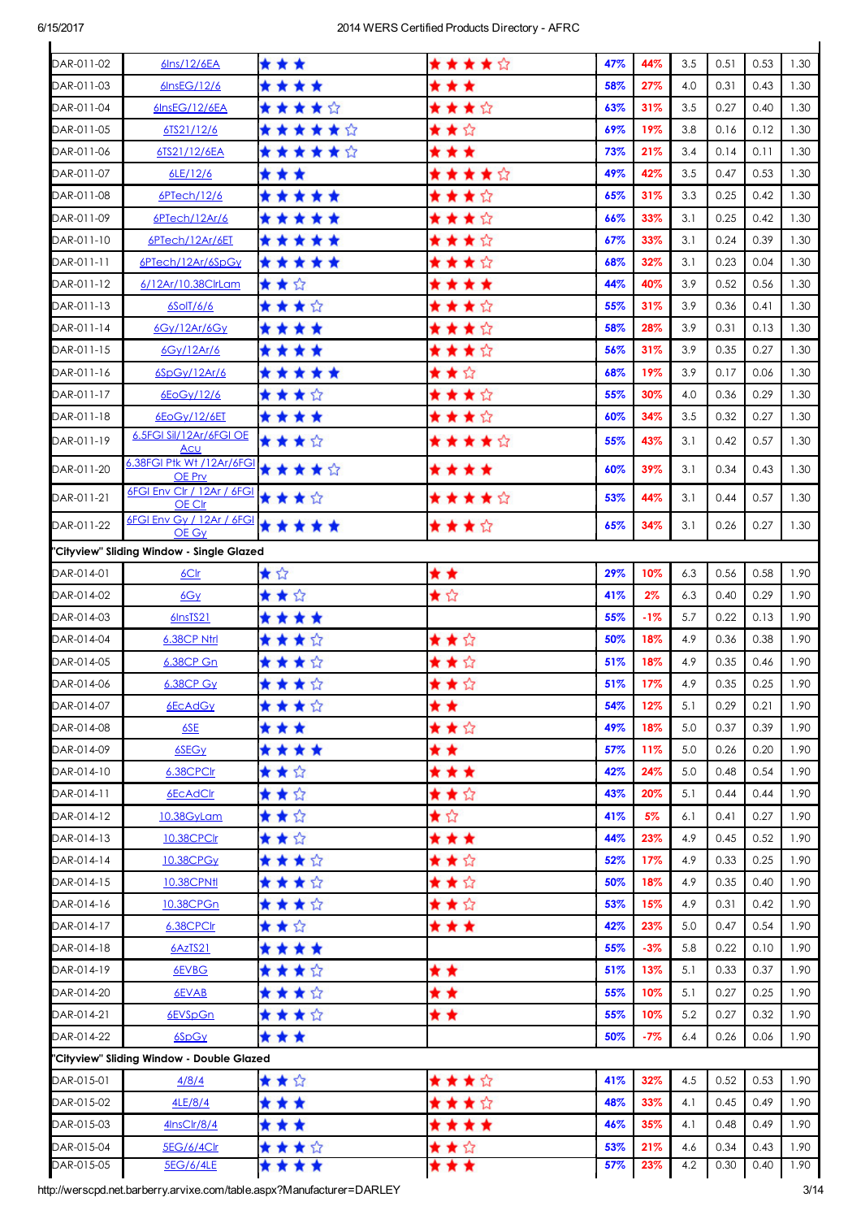| DAR-011-02 | 6lns/12/6EA                                        | * * *   | ★★★★☆ | 47% | 44%   | 3.5 | 0.51 | 0.53 | 1.30 |
|------------|----------------------------------------------------|---------|-------|-----|-------|-----|------|------|------|
| DAR-011-03 | 6InsEG/12/6                                        | ****    | * * * | 58% | 27%   | 4.0 | 0.31 | 0.43 | 1.30 |
| DAR-011-04 | 6InsEG/12/6EA                                      | ★★★★☆   | ★★★☆  | 63% | 31%   | 3.5 | 0.27 | 0.40 | 1.30 |
| DAR-011-05 | 6TS21/12/6                                         | ★★★★★☆  | ★★☆   | 69% | 19%   | 3.8 | 0.16 | 0.12 | 1.30 |
| DAR-011-06 | 6TS21/12/6EA                                       | ******  | * * * | 73% | 21%   | 3.4 | 0.14 | 0.11 | 1.30 |
| DAR-011-07 | 6LE/12/6                                           | * * *   | ★★★★☆ | 49% | 42%   | 3.5 | 0.47 | 0.53 | 1.30 |
| DAR-011-08 | 6PTech/12/6                                        | *****   | ★★★☆  | 65% | 31%   | 3.3 | 0.25 | 0.42 | 1.30 |
| DAR-011-09 | 6PTech/12Ar/6                                      | *****   | ★★★☆  | 66% | 33%   | 3.1 | 0.25 | 0.42 | 1.30 |
| DAR-011-10 | 6PTech/12Ar/6ET                                    | *****   | ★★★☆  | 67% | 33%   | 3.1 | 0.24 | 0.39 | 1.30 |
| DAR-011-11 | 6PTech/12Ar/6SpGy                                  | *****   | ★★★☆  | 68% | 32%   | 3.1 | 0.23 | 0.04 | 1.30 |
| DAR-011-12 | 6/12Ar/10.38ClrLam                                 | ★★☆     | ****  | 44% | 40%   | 3.9 | 0.52 | 0.56 | 1.30 |
| DAR-011-13 | $6$ SolT $/6/6$                                    | ★★★☆    | ★★★☆  | 55% | 31%   | 3.9 | 0.36 | 0.41 | 1.30 |
| DAR-011-14 | 6Gy/12Ar/6Gy                                       | ****    | ★★★☆  | 58% | 28%   | 3.9 | 0.31 | 0.13 | 1.30 |
| DAR-011-15 | 6Gy/12Ar/6                                         | ****    | ★★★☆  | 56% | 31%   | 3.9 | 0.35 | 0.27 | 1.30 |
| DAR-011-16 | 6SpGy/12Ar/6                                       | *****   | ★★☆   | 68% | 19%   | 3.9 | 0.17 | 0.06 | 1.30 |
| DAR-011-17 | 6EoGy/12/6                                         | ★★★☆    | ★★★☆  | 55% | 30%   | 4.0 | 0.36 | 0.29 | 1.30 |
| DAR-011-18 | 6EoGy/12/6ET                                       | ****    | ★★★☆  | 60% | 34%   | 3.5 | 0.32 | 0.27 | 1.30 |
| DAR-011-19 | 6.5FGI Sil/12Ar/6FGI OE                            | ★ ★ ★ ☆ | ★★★★☆ | 55% | 43%   | 3.1 | 0.42 | 0.57 | 1.30 |
| DAR-011-20 | Acu<br>6.38FGI Ptk Wt / 12Ar/6FGI                  | *****   | ****  | 60% | 39%   | 3.1 | 0.34 | 0.43 | 1.30 |
| DAR-011-21 | OE Prv<br>6FGI Env Clr / 12Ar / 6FGI               | ★★★☆    | ★★★★☆ | 53% | 44%   | 3.1 | 0.44 | 0.57 | 1.30 |
| DAR-011-22 | OE Clr<br>6FGI Env Gy / 12Ar / 6FGI                | *****   |       | 65% | 34%   | 3.1 | 0.26 | 0.27 | 1.30 |
|            | OE Gy<br>"Cityview" Sliding Window - Single Glazed |         | ★★★☆  |     |       |     |      |      |      |
| DAR-014-01 | 6C <sub>l</sub>                                    | ★☆      | * *   | 29% | 10%   | 6.3 | 0.56 | 0.58 | 1.90 |
| DAR-014-02 | 6Gy                                                | ★★☆     | ★☆    | 41% | 2%    | 6.3 | 0.40 | 0.29 | 1.90 |
| DAR-014-03 | 6InsTS21                                           | ****    |       | 55% | $-1%$ | 5.7 | 0.22 | 0.13 | 1.90 |
| DAR-014-04 | 6.38CP Ntrl                                        | ★★★☆    | ★★☆   | 50% | 18%   | 4.9 | 0.36 | 0.38 | 1.90 |
| DAR-014-05 | <b>6.38CP Gn</b>                                   | ★★★☆    | ★★☆   | 51% | 18%   | 4.9 | 0.35 | 0.46 | 1.90 |
| DAR-014-06 | 6.38CP Gy                                          | ****    | ★★☆   | 51% | 17%   | 4.9 | 0.35 | 0.25 | 1.90 |
| DAR-014-07 | <b>6EcAdGy</b>                                     | ★ ★ ★ ☆ | * *   | 54% | 12%   | 5.1 | 0.29 | 0.21 | 1.90 |
| DAR-014-08 | 6SE                                                | * * *   | ★★☆   | 49% | 18%   | 5.0 | 0.37 | 0.39 | 1.90 |
| DAR-014-09 | 6SEG <sub>Y</sub>                                  | ****    | * *   | 57% | 11%   | 5.0 | 0.26 | 0.20 | 1.90 |
| DAR-014-10 | 6.38CPClr                                          | ★★☆     | * * * | 42% | 24%   | 5.0 | 0.48 | 0.54 | 1.90 |
| DAR-014-11 | 6EcAdClr                                           | ★★☆     | ★★☆   | 43% | 20%   | 5.1 | 0.44 | 0.44 | 1.90 |
| DAR-014-12 | 10.38GyLam                                         | ★★☆     | ★☆    | 41% | 5%    | 6.1 | 0.41 | 0.27 | 1.90 |
| DAR-014-13 | 10.38CPClr                                         | ★★☆     | * * * | 44% | 23%   | 4.9 | 0.45 | 0.52 | 1.90 |
| DAR-014-14 | 10.38CPGy                                          | ★★★☆    | ★★☆   | 52% | 17%   | 4.9 | 0.33 | 0.25 | 1.90 |
| DAR-014-15 | <b>10.38CPNfl</b>                                  | ★★★☆    | ★★☆   | 50% | 18%   | 4.9 | 0.35 | 0.40 | 1.90 |
| DAR-014-16 | 10.38CPGn                                          | ★ ★ ★ ☆ | ★★☆   | 53% | 15%   | 4.9 | 0.31 | 0.42 | 1.90 |
| DAR-014-17 | 6.38CPCIr                                          | ★★☆     | * * * | 42% | 23%   | 5.0 | 0.47 | 0.54 | 1.90 |
| DAR-014-18 | 6AzTS21                                            | ****    |       | 55% | $-3%$ | 5.8 | 0.22 | 0.10 | 1.90 |
| DAR-014-19 | 6EVBG                                              | ★★★☆    | * *   | 51% | 13%   | 5.1 | 0.33 | 0.37 | 1.90 |
| DAR-014-20 | 6EVAB                                              | ★★★☆    | * *   | 55% | 10%   | 5.1 | 0.27 | 0.25 | 1.90 |
| DAR-014-21 | 6EVSpGn                                            | ★★★☆    | * *   | 55% | 10%   | 5.2 | 0.27 | 0.32 | 1.90 |
| DAR-014-22 | 6SpGy                                              | * * *   |       | 50% | $-7%$ | 6.4 | 0.26 | 0.06 | 1.90 |
|            | "Cityview" Sliding Window - Double Glazed          |         |       |     |       |     |      |      |      |
| DAR-015-01 | 4/8/4                                              | ★★☆     | ★★★☆  | 41% | 32%   | 4.5 | 0.52 | 0.53 | 1.90 |
| DAR-015-02 | 4LE/8/4                                            | * * *   | ★★★☆  | 48% | 33%   | 4.1 | 0.45 | 0.49 | 1.90 |
| DAR-015-03 | 4InsClr/8/4                                        | * * *   | ****  | 46% | 35%   | 4.1 | 0.48 | 0.49 | 1.90 |
| DAR-015-04 | 5EG/6/4Clr                                         | ★★★☆    | ★★☆   | 53% | 21%   | 4.6 | 0.34 | 0.43 | 1.90 |
| DAR-015-05 | 5EG/6/4LE                                          | ****    | * * * | 57% | 23%   | 4.2 | 0.30 | 0.40 | 1.90 |

http://werscpd.net.barberry.arvixe.com/table.aspx?Manufacturer=DARLEY 3/14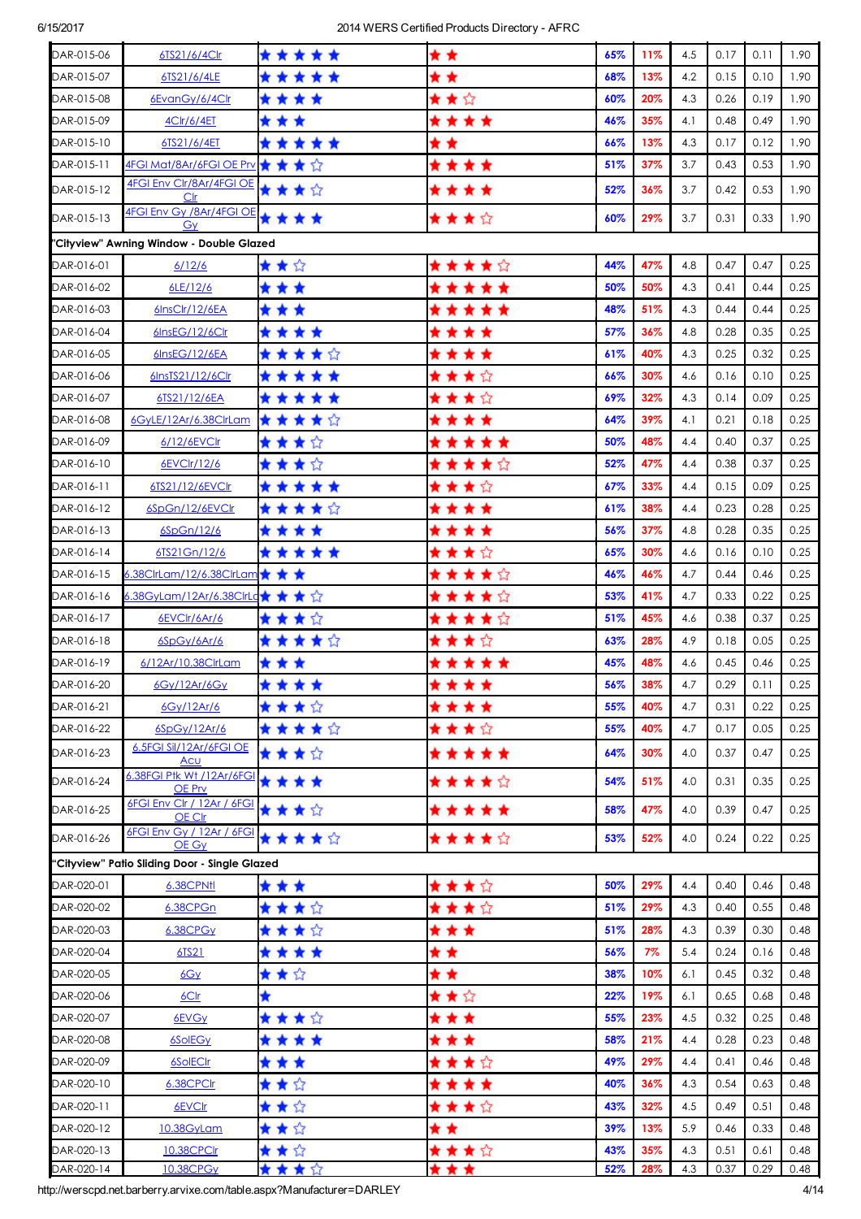| DAR-015-06 | 6TS21/6/4Clr                                  | *****   | * *       | 65% | 11% | 4.5 | 0.17 | 0.11 | 1.90 |
|------------|-----------------------------------------------|---------|-----------|-----|-----|-----|------|------|------|
| DAR-015-07 | 6TS21/6/4LE                                   | *****   | * *       | 68% | 13% | 4.2 | 0.15 | 0.10 | 1.90 |
| DAR-015-08 | 6EvanGy/6/4Clr                                | ****    | ★★☆       | 60% | 20% | 4.3 | 0.26 | 0.19 | 1.90 |
| DAR-015-09 | 4Clr/6/4ET                                    | * * *   | ****      | 46% | 35% | 4.1 | 0.48 | 0.49 | 1.90 |
| DAR-015-10 | 6TS21/6/4ET                                   | *****   | * *       | 66% | 13% | 4.3 | 0.17 | 0.12 | 1.90 |
| DAR-015-11 | 4FGI Mat/8Ar/6FGI OE Prv ★★★☆                 |         | ****      | 51% | 37% | 3.7 | 0.43 | 0.53 | 1.90 |
| DAR-015-12 | 4FGI Env Clr/8Ar/4FGI OE<br>Clr               | ★★★☆    | ****      | 52% | 36% | 3.7 | 0.42 | 0.53 | 1.90 |
| DAR-015-13 | 4FGI Env Gy /8Ar/4FGI OE<br>Gv                | ****    | ★★★☆      | 60% | 29% | 3.7 | 0.31 | 0.33 | 1.90 |
|            | "Cityview" Awning Window - Double Glazed      |         |           |     |     |     |      |      |      |
| DAR-016-01 | 6/12/6                                        | ★★☆     | ★ ★ ★ ★ ☆ | 44% | 47% | 4.8 | 0.47 | 0.47 | 0.25 |
| DAR-016-02 | 6LE/12/6                                      | * * *   | *****     | 50% | 50% | 4.3 | 0.41 | 0.44 | 0.25 |
| DAR-016-03 | 6InsClr/12/6EA                                | * * *   | *****     | 48% | 51% | 4.3 | 0.44 | 0.44 | 0.25 |
| DAR-016-04 | 6InsEG/12/6Clr                                | ****    | ****      | 57% | 36% | 4.8 | 0.28 | 0.35 | 0.25 |
| DAR-016-05 | 6InsEG/12/6EA                                 | ★★★★☆   | ****      | 61% | 40% | 4.3 | 0.25 | 0.32 | 0.25 |
| DAR-016-06 | 6InsTS21/12/6Clr                              | *****   | ★★★☆      | 66% | 30% | 4.6 | 0.16 | 0.10 | 0.25 |
| DAR-016-07 | 6TS21/12/6EA                                  | *****   | ★★★☆      | 69% | 32% | 4.3 | 0.14 | 0.09 | 0.25 |
| DAR-016-08 | 6GyLE/12Ar/6.38ClrLam                         | ★★★★☆   | ****      | 64% | 39% | 4.1 | 0.21 | 0.18 | 0.25 |
| DAR-016-09 | 6/12/6EVClr                                   | ★★★☆    | *****     | 50% | 48% | 4.4 | 0.40 | 0.37 | 0.25 |
| DAR-016-10 | 6EVClr/12/6                                   | ★★★☆    | ★★★★☆     | 52% | 47% | 4.4 | 0.38 | 0.37 | 0.25 |
| DAR-016-11 | 6TS21/12/6EVCIr                               | *****   | ★ ★ ★ ☆   | 67% | 33% | 4.4 | 0.15 | 0.09 | 0.25 |
| DAR-016-12 | 6SpGn/12/6EVCIr                               | ★★★★☆   | * * * *   | 61% | 38% | 4.4 | 0.23 | 0.28 | 0.25 |
| DAR-016-13 | 6SpGn/12/6                                    | ****    | ****      | 56% | 37% | 4.8 | 0.28 | 0.35 | 0.25 |
| DAR-016-14 | 6TS21Gn/12/6                                  | *****   | ★★★☆      | 65% | 30% | 4.6 | 0.16 | 0.10 | 0.25 |
| DAR-016-15 | 6.38ClrLam/12/6.38ClrLam ★ ★ ★                |         | ★★★★☆     | 46% | 46% | 4.7 | 0.44 | 0.46 | 0.25 |
| DAR-016-16 | 6.38GyLam/12Ar/6.38ClrLq★ ★ ★ ☆               |         | ★★★★☆     | 53% | 41% | 4.7 | 0.33 | 0.22 | 0.25 |
| DAR-016-17 | 6EVCIr/6Ar/6                                  | ★★★☆    | ★★★★☆     | 51% | 45% | 4.6 | 0.38 | 0.37 | 0.25 |
| DAR-016-18 | 6SpGy/6Ar/6                                   | ★★★★☆   | ★★★☆      | 63% | 28% | 4.9 | 0.18 | 0.05 | 0.25 |
| DAR-016-19 | 6/12Ar/10.38ClrLam                            | * * *   | *****     | 45% | 48% | 4.6 | 0.45 | 0.46 | 0.25 |
| DAR-016-20 | 6Gv/12Ar/6Gv                                  | ****    | ****      | 56% | 38% | 4.7 | 0.29 | 0.11 | 0.25 |
| DAR-016-21 | 6Gy/12Ar/6                                    | ★★★☆    | ****      | 55% | 40% | 4.7 | 0.31 | 0.22 | 0.25 |
| DAR-016-22 | 6SpGy/12Ar/6                                  | *****   | ****      | 55% | 40% | 4.7 | 0.17 | 0.05 | 0.25 |
| DAR-016-23 | 6.5FGI Sil/12Ar/6FGI OE<br><u>Acu</u>         | ****    | *****     | 64% | 30% | 4.0 | 0.37 | 0.47 | 0.25 |
| DAR-016-24 | 6.38FGI Ptk Wt / 12Ar/6FGI<br>OE Prv          | ****    | ★ ★ ★ ★ ☆ | 54% | 51% | 4.0 | 0.31 | 0.35 | 0.25 |
| DAR-016-25 | 6FGI Env Clr / 12Ar / 6FGI<br>OE Clr          | ★★★☆    | *****     | 58% | 47% | 4.0 | 0.39 | 0.47 | 0.25 |
| DAR-016-26 | 6FGI Env Gy / 12Ar / 6FGI<br>OE Gy            | ★★★★☆   | ★★★★☆     | 53% | 52% | 4.0 | 0.24 | 0.22 | 0.25 |
|            | "Cityview" Patio Sliding Door - Single Glazed |         |           |     |     |     |      |      |      |
| DAR-020-01 | 6.38CPNtl                                     | * * *   | ★★★☆      | 50% | 29% | 4.4 | 0.40 | 0.46 | 0.48 |
| DAR-020-02 | 6.38CPGn                                      | ★★★☆    | ★★★☆      | 51% | 29% | 4.3 | 0.40 | 0.55 | 0.48 |
| DAR-020-03 | 6.38CPGy                                      | ★★★☆    | * * *     | 51% | 28% | 4.3 | 0.39 | 0.30 | 0.48 |
| DAR-020-04 | 6TS21                                         | ****    | * *       | 56% | 7%  | 5.4 | 0.24 | 0.16 | 0.48 |
| DAR-020-05 | 6Gy                                           | ★★☆     | * *       | 38% | 10% | 6.1 | 0.45 | 0.32 | 0.48 |
| DAR-020-06 | 6Clr                                          | ★       | ★★☆       | 22% | 19% | 6.1 | 0.65 | 0.68 | 0.48 |
| DAR-020-07 | 6EVGy                                         | ★★★☆    | * * *     | 55% | 23% | 4.5 | 0.32 | 0.25 | 0.48 |
| DAR-020-08 | 6SolEGy                                       | ****    | * * *     | 58% | 21% | 4.4 | 0.28 | 0.23 | 0.48 |
| DAR-020-09 | 6SolECIr                                      | * * *   | ★★★☆      | 49% | 29% | 4.4 | 0.41 | 0.46 | 0.48 |
| DAR-020-10 | 6.38CPClr                                     | ★★☆     | ****      | 40% | 36% | 4.3 | 0.54 | 0.63 | 0.48 |
| DAR-020-11 | 6EVCIr                                        | ★★☆     | ★★★☆      | 43% | 32% | 4.5 | 0.49 | 0.51 | 0.48 |
| DAR-020-12 | 10.38GyLam                                    | ★★☆     | * *       | 39% | 13% | 5.9 | 0.46 | 0.33 | 0.48 |
| DAR-020-13 | 10.38CPClr                                    | ★★☆     | ★★★☆      | 43% | 35% | 4.3 | 0.51 | 0.61 | 0.48 |
| DAR-020-14 | 10.38CPGy                                     | ★ ★ ★ ☆ | ***       | 52% | 28% | 4.3 | 0.37 | 0.29 | 0.48 |

http://werscpd.net.barberry.arvixe.com/table.aspx?Manufacturer=DARLEY 4/14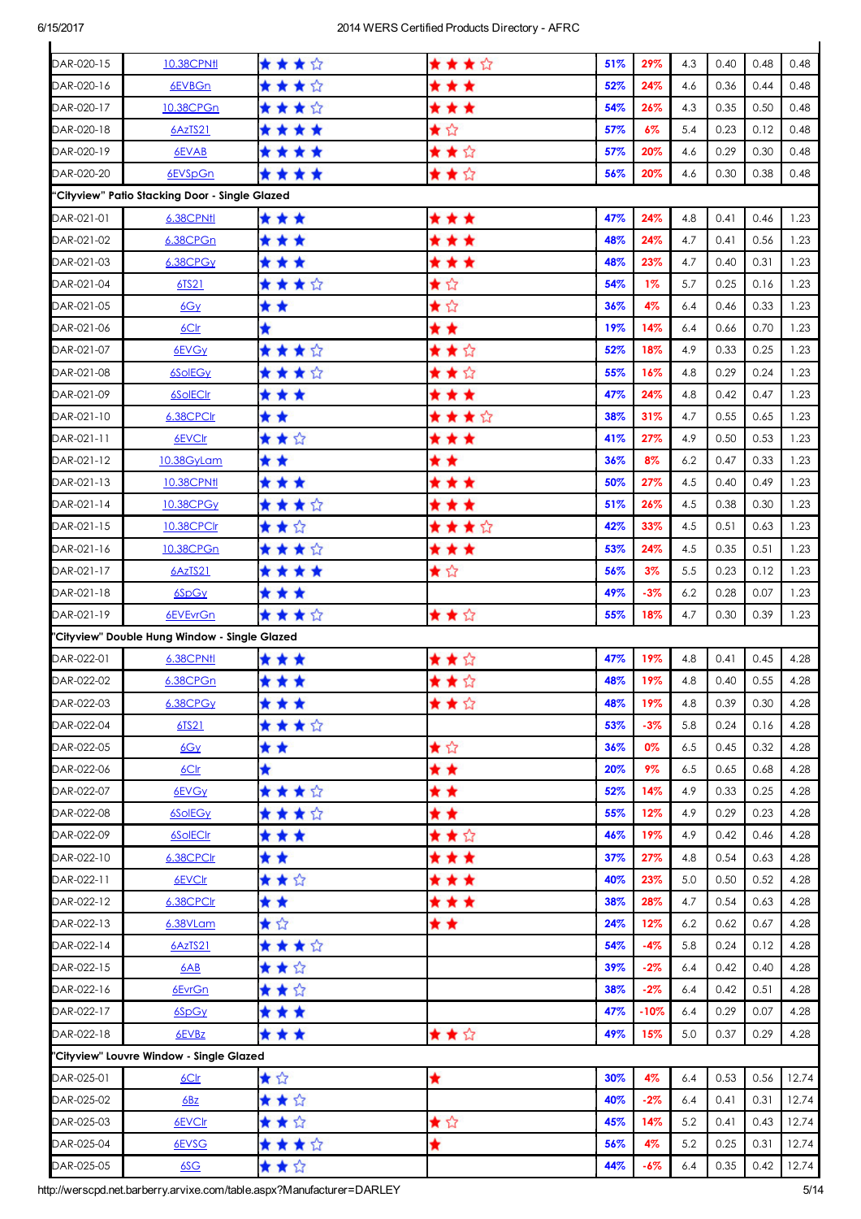| DAR-020-15 | 10.38CPNfl                                     | ★ ★ ★ ☆ | ★★★☆  | 51% | 29%    | 4.3 | 0.40 | 0.48 | 0.48  |
|------------|------------------------------------------------|---------|-------|-----|--------|-----|------|------|-------|
| DAR-020-16 | 6EVBGn                                         | ★★★☆    | * * * | 52% | 24%    | 4.6 | 0.36 | 0.44 | 0.48  |
| DAR-020-17 | 10.38CPGn                                      | ★★★☆    | * * * | 54% | 26%    | 4.3 | 0.35 | 0.50 | 0.48  |
| DAR-020-18 | 6AzTS21                                        | ****    | ★☆    | 57% | 6%     | 5.4 | 0.23 | 0.12 | 0.48  |
| DAR-020-19 | 6EVAB                                          | ****    | ★★☆   | 57% | 20%    | 4.6 | 0.29 | 0.30 | 0.48  |
| DAR-020-20 | 6EVSpGn                                        | ****    | ★★☆   | 56% | 20%    | 4.6 | 0.30 | 0.38 | 0.48  |
|            | "Cityview" Patio Stacking Door - Single Glazed |         |       |     |        |     |      |      |       |
| DAR-021-01 | 6.38CPNtl                                      | * * *   | * * * | 47% | 24%    | 4.8 | 0.41 | 0.46 | 1.23  |
| DAR-021-02 | 6.38CPGn                                       | * * *   | * * * | 48% | 24%    | 4.7 | 0.41 | 0.56 | 1.23  |
| DAR-021-03 | 6.38CPGy                                       | * * *   | * * * | 48% | 23%    | 4.7 | 0.40 | 0.31 | 1.23  |
| DAR-021-04 | 6TS21                                          | ****    | ★☆    | 54% | $1\%$  | 5.7 | 0.25 | 0.16 | 1.23  |
| DAR-021-05 | 6Gy                                            | * *     | ★☆    | 36% | 4%     | 6.4 | 0.46 | 0.33 | 1.23  |
| DAR-021-06 | 6C                                             | ★       | * *   | 19% | 14%    | 6.4 | 0.66 | 0.70 | 1.23  |
| DAR-021-07 | 6EVGy                                          | ★★★☆    | ★★☆   | 52% | 18%    | 4.9 | 0.33 | 0.25 | 1.23  |
| DAR-021-08 | <b>6SolEGy</b>                                 | ★★★☆    | ★★☆   | 55% | 16%    | 4.8 | 0.29 | 0.24 | 1.23  |
| DAR-021-09 | <b>6SolECIr</b>                                | * * *   | * * * | 47% | 24%    | 4.8 | 0.42 | 0.47 | 1.23  |
| DAR-021-10 | 6.38CPClr                                      | * *     | ★★★☆  | 38% | 31%    | 4.7 | 0.55 | 0.65 | 1.23  |
| DAR-021-11 | 6EVCIr                                         | ★★☆     | * * * | 41% | 27%    | 4.9 | 0.50 | 0.53 | 1.23  |
| DAR-021-12 | 10.38GyLam                                     | * *     | * *   | 36% | 8%     | 6.2 | 0.47 | 0.33 | 1.23  |
| DAR-021-13 | 10.38CPNfl                                     | * * *   | * * * | 50% | 27%    | 4.5 | 0.40 | 0.49 | 1.23  |
| DAR-021-14 | 10.38CPGy                                      | ★★★☆    | * * * | 51% | 26%    | 4.5 | 0.38 | 0.30 | 1.23  |
| DAR-021-15 | 10.38CPClr                                     | ★★☆     | ★★★☆  | 42% | 33%    | 4.5 | 0.51 | 0.63 | 1.23  |
| DAR-021-16 | 10.38CPGn                                      | ★★★☆    | * * * | 53% | 24%    | 4.5 | 0.35 | 0.51 | 1.23  |
| DAR-021-17 | 6AzTS21                                        | ****    | ★☆    | 56% | 3%     | 5.5 | 0.23 | 0.12 | 1.23  |
| DAR-021-18 | 6SpGy                                          | * * *   |       | 49% | $-3%$  | 6.2 | 0.28 | 0.07 | 1.23  |
| DAR-021-19 | 6EVEvrGn                                       | ★★★☆    | ★★☆   | 55% | 18%    | 4.7 | 0.30 | 0.39 | 1.23  |
|            | "Cityview" Double Hung Window - Single Glazed  |         |       |     |        |     |      |      |       |
| DAR-022-01 | 6.38CPNtl                                      | * * *   | ★★☆   | 47% | 19%    | 4.8 | 0.41 | 0.45 | 4.28  |
| DAR-022-02 | 6.38CPGn                                       | ***     | ★★☆   | 48% | 19%    | 4.8 | 0.40 | 0.55 | 4.28  |
| DAR-022-03 | 6.38CPGy                                       | ***     | ★ ★ ☆ | 48% | 19%    | 4.8 | 0.39 | 0.30 | 4.28  |
| DAR-022-04 | 6TS21                                          | ★★★☆    |       | 53% | -3%    | 5.8 | 0.24 | 0.16 | 4.28  |
| DAR-022-05 | 6Gy                                            | * *     | ★☆    | 36% | 0%     | 6.5 | 0.45 | 0.32 | 4.28  |
| DAR-022-06 | 6C <sub>1</sub>                                | ★       | * *   | 20% | 9%     | 6.5 | 0.65 | 0.68 | 4.28  |
| DAR-022-07 | 6EVGy                                          | ★★★☆    | * *   | 52% | 14%    | 4.9 | 0.33 | 0.25 | 4.28  |
| DAR-022-08 | <b>6SolEGy</b>                                 | ★★★☆    | * *   | 55% | 12%    | 4.9 | 0.29 | 0.23 | 4.28  |
| DAR-022-09 | 6SolECIr                                       | * * *   | ★★☆   | 46% | 19%    | 4.9 | 0.42 | 0.46 | 4.28  |
| DAR-022-10 | 6.38CPClr                                      | * *     | * * * | 37% | 27%    | 4.8 | 0.54 | 0.63 | 4.28  |
| DAR-022-11 | 6EVCIr                                         | ★★☆     | * * * | 40% | 23%    | 5.0 | 0.50 | 0.52 | 4.28  |
| DAR-022-12 | 6.38CPClr                                      | * *     | * * * | 38% | 28%    | 4.7 | 0.54 | 0.63 | 4.28  |
| DAR-022-13 | 6.38VLam                                       | ★☆      | * *   | 24% | 12%    | 6.2 | 0.62 | 0.67 | 4.28  |
| DAR-022-14 | 6AzTS21                                        | ★★★☆    |       | 54% | $-4%$  | 5.8 | 0.24 | 0.12 | 4.28  |
| DAR-022-15 | 6AB                                            | ★★☆     |       | 39% | $-2%$  | 6.4 | 0.42 | 0.40 | 4.28  |
| DAR-022-16 | 6EvrGn                                         | ★★☆     |       | 38% | $-2%$  | 6.4 | 0.42 | 0.51 | 4.28  |
| DAR-022-17 | 6SpGy                                          | * * *   |       | 47% | $-10%$ | 6.4 | 0.29 | 0.07 | 4.28  |
| DAR-022-18 | 6EVBz                                          | ***     | ★★☆   | 49% | 15%    | 5.0 | 0.37 | 0.29 | 4.28  |
|            | "Cityview" Louvre Window - Single Glazed       |         |       |     |        |     |      |      |       |
| DAR-025-01 | 6C <sub>lr</sub>                               | ★☆      | ★     | 30% | 4%     | 6.4 | 0.53 | 0.56 | 12.74 |
| DAR-025-02 | 6Bz                                            | ★★☆     |       | 40% | $-2%$  | 6.4 | 0.41 | 0.31 | 12.74 |
| DAR-025-03 | 6EVCIr                                         | ★★☆     | ★☆    | 45% | 14%    | 5.2 | 0.41 | 0.43 | 12.74 |
| DAR-025-04 | 6EVSG                                          | ★★★☆    | ★     | 56% | 4%     | 5.2 | 0.25 | 0.31 | 12.74 |
| DAR-025-05 | 6SC                                            | ★★☆     |       | 44% | $-6%$  | 6.4 | 0.35 | 0.42 | 12.74 |

http://werscpd.net.barberry.arvixe.com/table.aspx?Manufacturer=DARLEY 5/14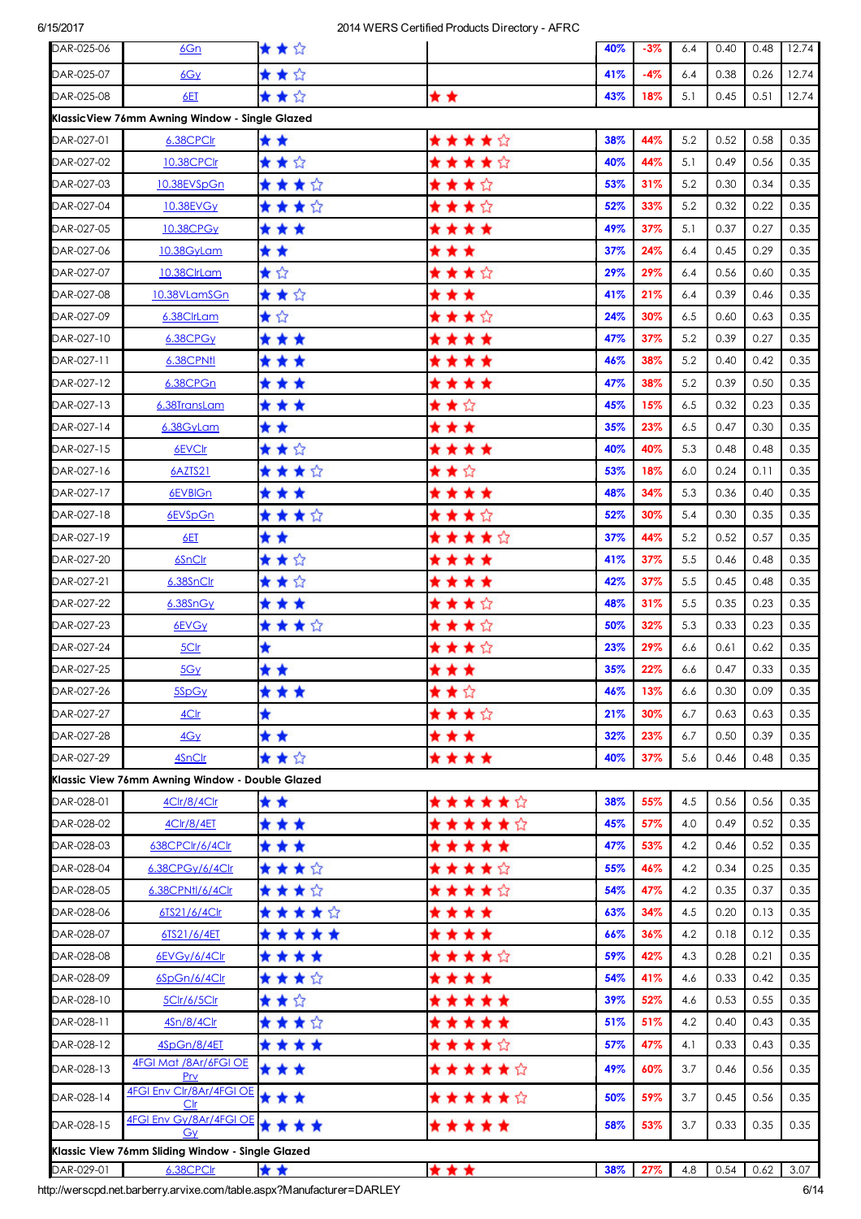| DAR-025-06 | 6Gn                                              | ★★☆     |         | 40% | $-3%$ | 6.4 | 0.40 | 0.48 | 12.74 |
|------------|--------------------------------------------------|---------|---------|-----|-------|-----|------|------|-------|
| DAR-025-07 | 6Gy                                              | ★★☆     |         | 41% | $-4%$ | 6.4 | 0.38 | 0.26 | 12.74 |
| DAR-025-08 | 6ET                                              | ★★☆     | * *     | 43% | 18%   | 5.1 | 0.45 | 0.51 | 12.74 |
|            | KlassicView 76mm Awning Window - Single Glazed   |         |         |     |       |     |      |      |       |
| DAR-027-01 | 6.38CPClr                                        | * *     | ★★★★☆   | 38% | 44%   | 5.2 | 0.52 | 0.58 | 0.35  |
| DAR-027-02 | 10.38CPClr                                       | ★★☆     | ★★★★☆   | 40% | 44%   | 5.1 | 0.49 | 0.56 | 0.35  |
| DAR-027-03 | 10.38EVSpGn                                      | ★★★☆    | ★★★☆    | 53% | 31%   | 5.2 | 0.30 | 0.34 | 0.35  |
| DAR-027-04 | <b>10.38EVGy</b>                                 | ★ ★ ★ ☆ | ★★★☆    | 52% | 33%   | 5.2 | 0.32 | 0.22 | 0.35  |
| DAR-027-05 | 10.38CPGy                                        | * * *   | * * * * | 49% | 37%   | 5.1 | 0.37 | 0.27 | 0.35  |
| DAR-027-06 | 10.38GyLam                                       | * *     | * * *   | 37% | 24%   | 6.4 | 0.45 | 0.29 | 0.35  |
| DAR-027-07 | 10.38ClrLam                                      | ★☆      | ★★★☆    | 29% | 29%   | 6.4 | 0.56 | 0.60 | 0.35  |
| DAR-027-08 | 10.38VLamSGn                                     | ★★☆     | * * *   | 41% | 21%   | 6.4 | 0.39 | 0.46 | 0.35  |
| DAR-027-09 | 6.38ClrLam                                       | ★☆      | ★★★☆    | 24% | 30%   | 6.5 | 0.60 | 0.63 | 0.35  |
| DAR-027-10 | 6.38CPGy                                         | * * *   | ****    | 47% | 37%   | 5.2 | 0.39 | 0.27 | 0.35  |
| DAR-027-11 | 6.38CPNfl                                        | * * *   | ****    | 46% | 38%   | 5.2 | 0.40 | 0.42 | 0.35  |
| DAR-027-12 | 6.38CPGn                                         | * * *   | * * * * | 47% | 38%   | 5.2 | 0.39 | 0.50 | 0.35  |
| DAR-027-13 | 6.38TransLam                                     | * * *   | ★★☆     | 45% | 15%   | 6.5 | 0.32 | 0.23 | 0.35  |
| DAR-027-14 | 6.38GyLam                                        | * *     | * * *   | 35% | 23%   | 6.5 | 0.47 | 0.30 | 0.35  |
| DAR-027-15 | 6EVCIr                                           | ★★☆     | ****    | 40% | 40%   | 5.3 | 0.48 | 0.48 | 0.35  |
| DAR-027-16 | 6AZTS21                                          | ★★★☆    | ★★☆     | 53% | 18%   | 6.0 | 0.24 | 0.11 | 0.35  |
| DAR-027-17 | 6EVBIGn                                          | * * *   | ****    | 48% | 34%   | 5.3 | 0.36 | 0.40 | 0.35  |
| DAR-027-18 | 6EVSpGn                                          | ★★★☆    | ★★★☆    | 52% | 30%   | 5.4 | 0.30 | 0.35 | 0.35  |
| DAR-027-19 | 6ET                                              | * *     | ★★★★☆   | 37% | 44%   | 5.2 | 0.52 | 0.57 | 0.35  |
| DAR-027-20 | 6SnClr                                           | ★★☆     | * * * * | 41% | 37%   | 5.5 | 0.46 | 0.48 | 0.35  |
| DAR-027-21 | 6.38SnClr                                        | ★★☆     | * * * * | 42% | 37%   | 5.5 | 0.45 | 0.48 | 0.35  |
| DAR-027-22 | 6.38SnGy                                         | * * *   | ★★★☆    | 48% | 31%   | 5.5 | 0.35 | 0.23 | 0.35  |
| DAR-027-23 | 6EVGy                                            | ★★★☆    | ★★★☆    | 50% | 32%   | 5.3 | 0.33 | 0.23 | 0.35  |
| DAR-027-24 | 5Clr                                             | ★       | ★★★☆    | 23% | 29%   | 6.6 | 0.61 | 0.62 | 0.35  |
| DAR-027-25 | 5Gy                                              | * *     | * * *   | 35% | 22%   | 6.6 | 0.47 | 0.33 | 0.35  |
| DAR-027-26 | 5SpGy                                            | * * *   | ★★☆     | 46% | 13%   | 6.6 | 0.30 | 0.09 | 0.35  |
| DAR-027-27 | 4Clr                                             | ★       | ★★★☆    | 21% | 30%   | 6.7 | 0.63 | 0.63 | 0.35  |
| DAR-027-28 | 4Gy                                              | * *     | * * *   | 32% | 23%   | 6.7 | 0.50 | 0.39 | 0.35  |
| DAR-027-29 | 4SnClr                                           | ★★☆     | * * * * | 40% | 37%   | 5.6 | 0.46 | 0.48 | 0.35  |
|            | Klassic View 76mm Awning Window - Double Glazed  |         |         |     |       |     |      |      |       |
| DAR-028-01 | 4Clr/8/4Clr                                      | * *     | ★★★★★☆  | 38% | 55%   | 4.5 | 0.56 | 0.56 | 0.35  |
| DAR-028-02 | 4Clr/8/4ET                                       | ***     | ★★★★★☆  | 45% | 57%   | 4.0 | 0.49 | 0.52 | 0.35  |
| DAR-028-03 | 638CPClr/6/4Clr                                  | ***     | *****   | 47% | 53%   | 4.2 | 0.46 | 0.52 | 0.35  |
| DAR-028-04 | 6.38CPGy/6/4Clr                                  | ****    | ★★★★☆   | 55% | 46%   | 4.2 | 0.34 | 0.25 | 0.35  |
| DAR-028-05 | 6.38CPNtl/6/4Clr                                 | ★★★☆    | ★★★★☆   | 54% | 47%   | 4.2 | 0.35 | 0.37 | 0.35  |
| DAR-028-06 | 6TS21/6/4Clr                                     | *****   | * * * * | 63% | 34%   | 4.5 | 0.20 | 0.13 | 0.35  |
| DAR-028-07 | 6TS21/6/4ET                                      | *****   | * * * * | 66% | 36%   | 4.2 | 0.18 | 0.12 | 0.35  |
| DAR-028-08 | 6EVGy/6/4Clr                                     | ****    | ★★★★☆   | 59% | 42%   | 4.3 | 0.28 | 0.21 | 0.35  |
| DAR-028-09 | 6SpGn/6/4Clr                                     | ****    | ****    | 54% | 41%   | 4.6 | 0.33 | 0.42 | 0.35  |
| DAR-028-10 | <u>5Clr/6/5Clr</u>                               | ★★☆     | *****   | 39% | 52%   | 4.6 | 0.53 | 0.55 | 0.35  |
| DAR-028-11 | 4Sn/8/4Clr                                       | ****    | *****   | 51% | 51%   | 4.2 | 0.40 | 0.43 | 0.35  |
| DAR-028-12 | 4SpGn/8/4ET                                      | ****    | ★★★★☆   | 57% | 47%   | 4.1 | 0.33 | 0.43 | 0.35  |
| DAR-028-13 | 4FGI Mat /8Ar/6FGI OE<br>Prv                     | * * *   | ★★★★★☆  | 49% | 60%   | 3.7 | 0.46 | 0.56 | 0.35  |
| DAR-028-14 | <b>4FGI Env Clr/8Ar/4FGI OE</b><br>Clr           | ***     | ★★★★★☆  | 50% | 59%   | 3.7 | 0.45 | 0.56 | 0.35  |
| DAR-028-15 | 4FGI Env Gy/8Ar/4FGI OE<br>Gy                    | ****    | *****   | 58% | 53%   | 3.7 | 0.33 | 0.35 | 0.35  |
|            | Klassic View 76mm Sliding Window - Single Glazed |         |         |     |       |     |      |      |       |
| DAR-029-01 | 6.38CPCIr                                        | * *     | ***     | 38% | 27%   | 4.8 | 0.54 | 0.62 | 3.07  |

http://werscpd.net.barberry.arvixe.com/table.aspx?Manufacturer=DARLEY 6/14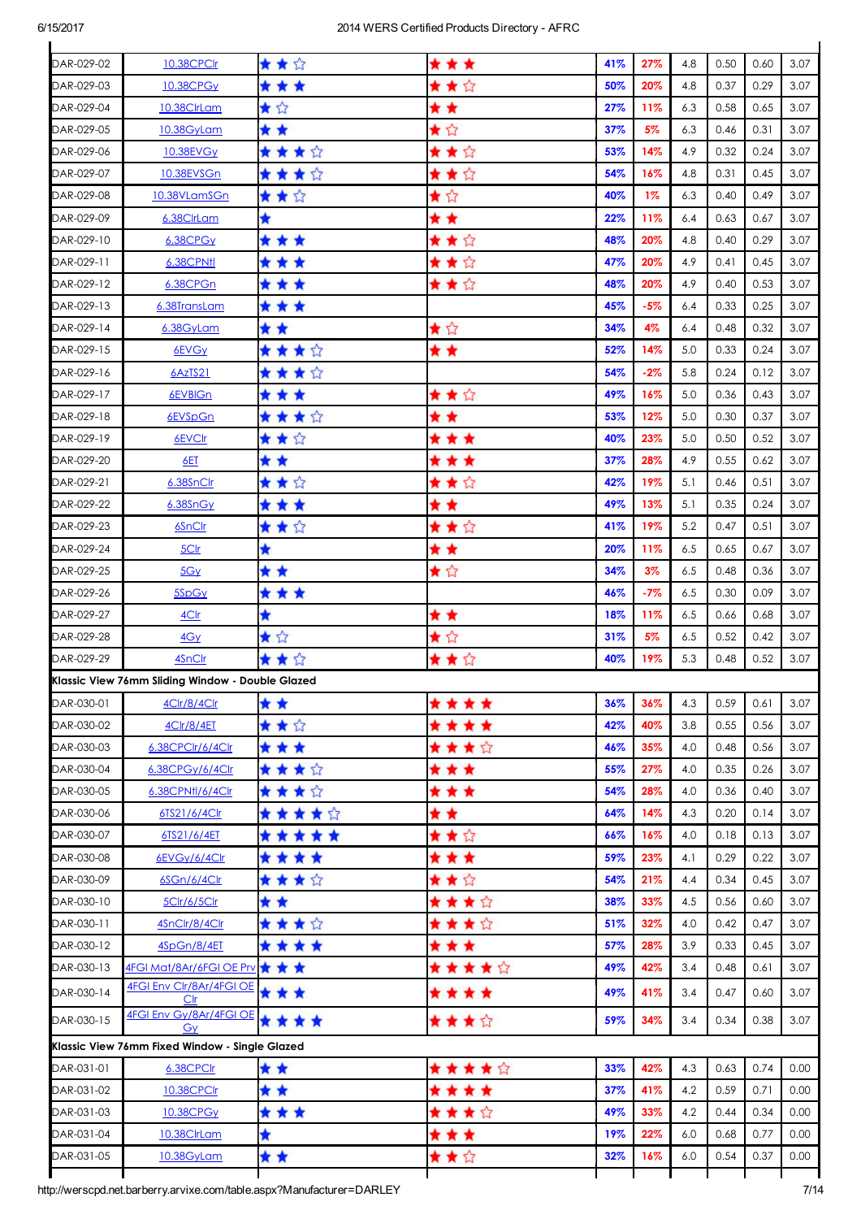| DAR-029-02                                                                                                   | 10.38CPClr                                           | ★★☆      | * * *        | 41%        | 27%        | 4.8        | 0.50         | 0.60         | 3.07         |
|--------------------------------------------------------------------------------------------------------------|------------------------------------------------------|----------|--------------|------------|------------|------------|--------------|--------------|--------------|
| DAR-029-03                                                                                                   | 10.38CPGy                                            | * * *    | ★★☆          | 50%        | 20%        | 4.8        | 0.37         | 0.29         | 3.07         |
| DAR-029-04                                                                                                   | <u>10.38ClrLam</u>                                   | ★☆       | * *          | 27%        | 11%        | 6.3        | 0.58         | 0.65         | 3.07         |
| DAR-029-05                                                                                                   | 10.38GyLam                                           | * *      | ★☆           | 37%        | 5%         | 6.3        | 0.46         | 0.31         | 3.07         |
| DAR-029-06                                                                                                   | 10.38EVG <sub>Y</sub>                                | ★★★☆     | ★★☆          | 53%        | 14%        | 4.9        | 0.32         | 0.24         | 3.07         |
| DAR-029-07                                                                                                   | 10.38EVSGn                                           | ★★★☆     | ★★☆          | 54%        | 16%        | 4.8        | 0.31         | 0.45         | 3.07         |
| DAR-029-08                                                                                                   | 10.38VLamSGn                                         | ★★☆      | ★☆           | 40%        | $1\%$      | 6.3        | 0.40         | 0.49         | 3.07         |
| DAR-029-09                                                                                                   | 6.38ClrLam                                           | ★        | * *          | 22%        | 11%        | 6.4        | 0.63         | 0.67         | 3.07         |
| DAR-029-10                                                                                                   | 6.38CPG <sub>Y</sub>                                 | * * *    | ★★☆          | 48%        | 20%        | 4.8        | 0.40         | 0.29         | 3.07         |
| DAR-029-11                                                                                                   | 6.38CPNtl                                            | ***      | ★★☆          | 47%        | 20%        | 4.9        | 0.41         | 0.45         | 3.07         |
| DAR-029-12                                                                                                   | 6.38CPGn                                             | * * *    | ★★☆          | 48%        | 20%        | 4.9        | 0.40         | 0.53         | 3.07         |
| DAR-029-13                                                                                                   | 6.38TransLam                                         | * * *    |              | 45%        | -5%        | 6.4        | 0.33         | 0.25         | 3.07         |
| DAR-029-14                                                                                                   | 6.38GyLam                                            | * *      | ★☆           | 34%        | 4%         | 6.4        | 0.48         | 0.32         | 3.07         |
| DAR-029-15                                                                                                   | 6EVGy                                                | ★★★☆     | * *          | 52%        | 14%        | 5.0        | 0.33         | 0.24         | 3.07         |
| DAR-029-16                                                                                                   | 6AzTS21                                              | ★ ★ ★ ☆  |              | 54%        | $-2%$      | 5.8        | 0.24         | 0.12         | 3.07         |
| DAR-029-17                                                                                                   | 6EVBIGn                                              | * * *    | ★★☆          | 49%        | 16%        | 5.0        | 0.36         | 0.43         | 3.07         |
| DAR-029-18                                                                                                   | 6EVSpGn                                              | ****     | * *          | 53%        | 12%        | 5.0        | 0.30         | 0.37         | 3.07         |
| DAR-029-19                                                                                                   | 6EVClr                                               | ★★☆      | * * *        | 40%        | 23%        | 5.0        | 0.50         | 0.52         | 3.07         |
| DAR-029-20                                                                                                   | <u>6ET</u>                                           | * *      | * * *        | 37%        | 28%        | 4.9        | 0.55         | 0.62         | 3.07         |
| DAR-029-21                                                                                                   | 6.38SnClr                                            | ★★☆      | ★★☆          | 42%        | 19%        | 5.1        | 0.46         | 0.51         | 3.07         |
| DAR-029-22                                                                                                   | 6.38SnGy                                             | * * *    | * *          | 49%        | 13%        | 5.1        | 0.35         | 0.24         | 3.07         |
| DAR-029-23                                                                                                   | 6SnClr                                               | ★★☆      | ★★☆          | 41%        | 19%        | 5.2        | 0.47         | 0.51         | 3.07         |
| DAR-029-24                                                                                                   | 5Clr                                                 | ★        | * *          | 20%        | 11%        | 6.5        | 0.65         | 0.67         | 3.07         |
| DAR-029-25                                                                                                   | 5Gy                                                  | * *      | ★☆           | 34%        | $3\%$      | 6.5        | 0.48         | 0.36         | 3.07         |
| DAR-029-26                                                                                                   | 5SpGy                                                | ***      |              | 46%        | -7%        | 6.5        | 0.30         | 0.09         | 3.07         |
| DAR-029-27                                                                                                   | 4Clr                                                 | ★        | * *          | 18%        | 11%        | 6.5        | 0.66         | 0.68         | 3.07         |
| DAR-029-28                                                                                                   | 4Gy                                                  | ★☆       | ★☆           | 31%        | 5%         | 6.5        | 0.52         | 0.42         | 3.07         |
| DAR-029-29                                                                                                   | 4SnClr                                               | ★★☆      | ★★☆          | 40%        | 19%        | 5.3        | 0.48         | 0.52         | 3.07         |
|                                                                                                              | Klassic View 76mm Sliding Window - Double Glazed     |          |              |            |            |            |              |              |              |
| DAR-030-01                                                                                                   | 4Clr/8/4Clr                                          | * *      |              | 36%        | 36%        | 4.3        | 0.59         | 0.61         | 3.07         |
| DAR-030-02                                                                                                   |                                                      |          | ****         | 42%        | 40%        | 3.8        | 0.55         | 0.56         | 3.07         |
|                                                                                                              | 4Clr/8/4ET<br>6.38CPClr/6/4Clr                       | ★★☆      | * * * *      |            |            |            |              |              | 3.07         |
| DAR-030-03                                                                                                   |                                                      | * * *    | ★★★☆         | 46%        | 35%        | 4.0        | 0.48         | 0.56         |              |
| DAR-030-04                                                                                                   | 6.38CPGy/6/4Clr                                      | ★★★☆     | * * *        | 55%        | 27%        | 4.0        | 0.35         | 0.26         | 3.07         |
| DAR-030-05                                                                                                   | 6.38CPNtl/6/4Clr                                     | ****     | * * *        | 54%        | 28%        | 4.0        | 0.36         | 0.40         | 3.07         |
| DAR-030-06                                                                                                   | 6TS21/6/4Clr                                         | *****    | * *          | 64%        | 14%        | 4.3        | 0.20         | 0.14         | 3.07         |
| DAR-030-07                                                                                                   | 6TS21/6/4ET                                          | *****    | ★★☆          | 66%        | 16%        | 4.0        | 0.18         | 0.13         | 3.07         |
| DAR-030-08                                                                                                   | 6EVGy/6/4Clr                                         | ****     | * * *        | 59%        | 23%        | 4.1        | 0.29         | 0.22         | 3.07         |
| DAR-030-09                                                                                                   | 6SGn/6/4Clr                                          | ★★★☆     | ★★☆          | 54%        | 21%        | 4.4        | 0.34         | 0.45         | 3.07         |
| DAR-030-10                                                                                                   | 5Clr/6/5Clr                                          | * *      | ★★★☆         | 38%        | 33%        | 4.5        | 0.56         | 0.60         | 3.07         |
|                                                                                                              |                                                      |          |              |            |            |            |              | 0.47         | 3.07         |
|                                                                                                              | 4SnClr/8/4Clr                                        | ★★★☆     | ★★★☆         | 51%        | 32%        | 4.0        | 0.42         |              |              |
|                                                                                                              | 4SpGn/8/4ET                                          | ****     | * * *        | 57%        | 28%        | 3.9        | 0.33         | 0.45         | 3.07         |
|                                                                                                              | 4FGI Mat/8Ar/6FGI OE Prv ★ ★ ★                       |          | ★★★★☆        | 49%        | 42%        | 3.4        | 0.48         | 0.61         | 3.07         |
|                                                                                                              | 4FGI Env Clr/8Ar/4FGI OE<br>Clr                      | * * *    | * * * *      | 49%        | 41%        | 3.4        | 0.47         | 0.60         | 3.07         |
|                                                                                                              | <b>4FGI Env Gy/8Ar/4FGI OE</b>                       | ****     | ★★★☆         | 59%        | 34%        | 3.4        | 0.34         | 0.38         | 3.07         |
|                                                                                                              | Gy<br>Klassic View 76mm Fixed Window - Single Glazed |          |              |            |            |            |              |              |              |
|                                                                                                              | 6.38CPClr                                            |          |              | 33%        | 42%        | 4.3        | 0.63         | 0.74         | 0.00         |
|                                                                                                              | 10.38CPClr                                           | * *      | ★★★★☆        | 37%        | 41%        | 4.2        | 0.59         | 0.71         | 0.00         |
|                                                                                                              |                                                      | * *      | * * * *      |            |            |            |              |              |              |
| DAR-030-11<br>DAR-030-12<br>DAR-030-13<br>DAR-030-14<br>DAR-030-15<br>DAR-031-01<br>DAR-031-02<br>DAR-031-03 | <b>10.38CPGy</b>                                     | ***      | ★★★☆         | 49%        | 33%        | 4.2        | 0.44         | 0.34         | 0.00         |
| DAR-031-04<br>DAR-031-05                                                                                     | 10.38ClrLam<br>10.38GyLam                            | ★<br>* * | * * *<br>★★☆ | 19%<br>32% | 22%<br>16% | 6.0<br>6.0 | 0.68<br>0.54 | 0.77<br>0.37 | 0.00<br>0.00 |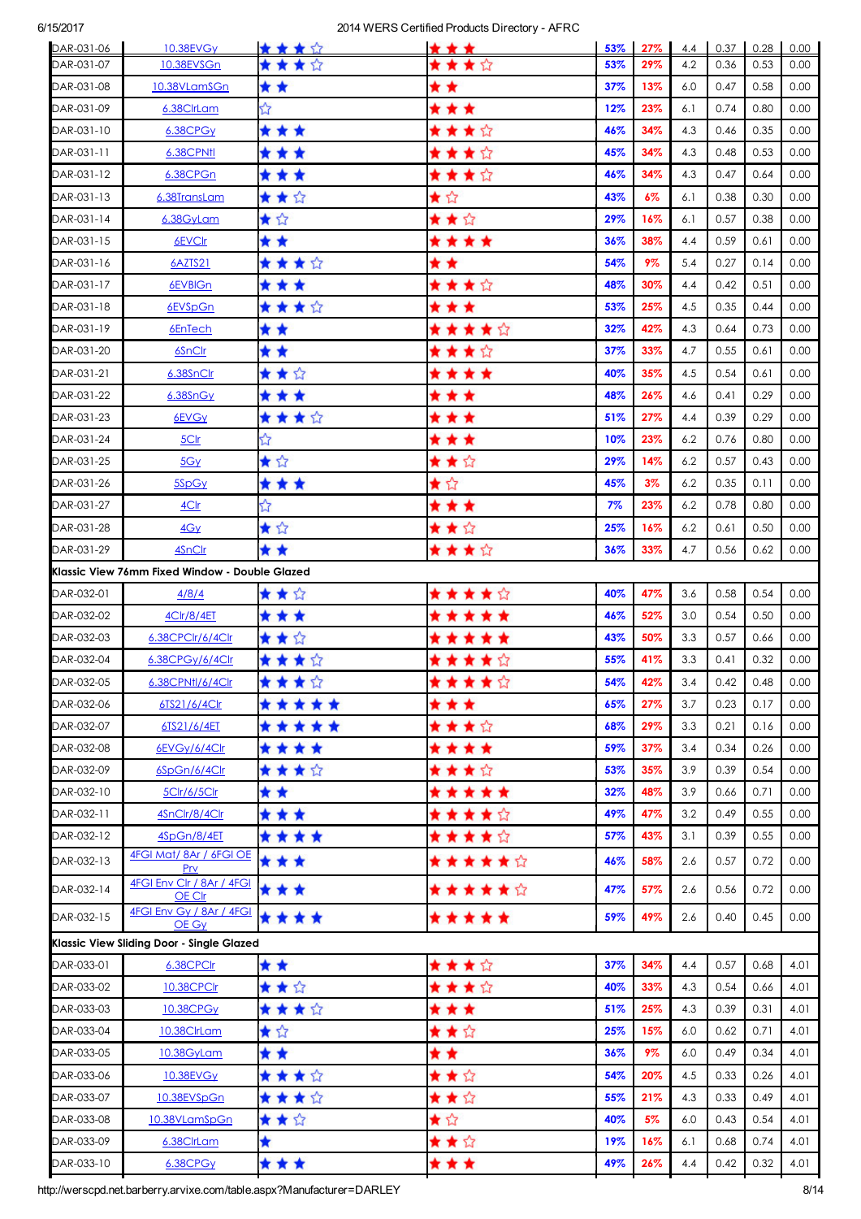| DAR-031-06<br>DAR-031-07 | 10.38EVG <sub>v</sub><br>10.38EVSGn            | ****    | * * *      | 53%<br>53% | 27%<br>29% | 4.4<br>4.2 | 0.37<br>0.36 | 0.28<br>0.53 | 0.00<br>0.00 |
|--------------------------|------------------------------------------------|---------|------------|------------|------------|------------|--------------|--------------|--------------|
| DAR-031-08               | 10.38VLamSGn                                   | * *     | ★★☆<br>* * | 37%        | 13%        | 6.0        | 0.47         | 0.58         | 0.00         |
| DAR-031-09               | 6.38ClrLam                                     | ☆       | * * *      | 12%        | 23%        | 6.1        | 0.74         | 0.80         | 0.00         |
| DAR-031-10               | 6.38CPG <sub>Y</sub>                           | * * *   | ★★★☆       | 46%        | 34%        | 4.3        | 0.46         | 0.35         | 0.00         |
| DAR-031-11               | 6.38CPNtl                                      | * * *   | ★★★☆       | 45%        | 34%        | 4.3        | 0.48         | 0.53         | 0.00         |
| DAR-031-12               | 6.38CPGn                                       | * * *   | ★★★☆       | 46%        | 34%        | 4.3        | 0.47         | 0.64         | 0.00         |
| DAR-031-13               | 6.38TransLam                                   | ★★☆     | ★☆         | 43%        | 6%         | 6.1        | 0.38         | 0.30         | 0.00         |
| DAR-031-14               | 6.38GyLam                                      | ★☆      | ★★☆        | 29%        | 16%        | 6.1        | 0.57         | 0.38         | 0.00         |
| DAR-031-15               | 6EVCIr                                         | * *     | ****       | 36%        | 38%        | 4.4        | 0.59         | 0.61         | 0.00         |
| DAR-031-16               | <u>6AZTS21</u>                                 | ★★★☆    | * *        | 54%        | 9%         | 5.4        | 0.27         | 0.14         | 0.00         |
| DAR-031-17               | 6EVBIGn                                        | * * *   | ★★★☆       | 48%        | 30%        | 4.4        | 0.42         | 0.51         | 0.00         |
| DAR-031-18               | 6EVSpGn                                        | ★★★☆    | * * *      | 53%        | 25%        | 4.5        | 0.35         | 0.44         | 0.00         |
| DAR-031-19               | 6EnTech                                        | * *     | ★★★★☆      | 32%        | 42%        | 4.3        | 0.64         | 0.73         | 0.00         |
| DAR-031-20               | 6SnClr                                         | * *     | ★★★☆       | 37%        | 33%        | 4.7        | 0.55         | 0.61         | 0.00         |
| DAR-031-21               | 6.38SnClr                                      | ★★☆     | * * * *    | 40%        | 35%        | 4.5        | 0.54         | 0.61         | 0.00         |
| DAR-031-22               | 6.38SnGy                                       | * * *   | * * *      | 48%        | 26%        | 4.6        | 0.41         | 0.29         | 0.00         |
| DAR-031-23               | 6EVGy                                          | ★★★☆    | * * *      | 51%        | 27%        | 4.4        | 0.39         | 0.29         | 0.00         |
| DAR-031-24               | 5Clr                                           | ☆       | * * *      | 10%        | 23%        | 6.2        | 0.76         | 0.80         | 0.00         |
| DAR-031-25               | 5Gy                                            | ★☆      | ★★☆        | 29%        | 14%        | 6.2        | 0.57         | 0.43         | 0.00         |
| DAR-031-26               | 5SpGy                                          | * * *   | ★☆         | 45%        | $3\%$      | 6.2        | 0.35         | 0.11         | 0.00         |
| DAR-031-27               | <u>4Clr</u>                                    | ☆       | * * *      | 7%         | 23%        | 6.2        | 0.78         | 0.80         | 0.00         |
| DAR-031-28               | 4Gy                                            | ★☆      | ★★☆        | 25%        | 16%        | 6.2        | 0.61         | 0.50         | 0.00         |
| DAR-031-29               | 4SnClr                                         | * *     | ★★★☆       | 36%        | 33%        | 4.7        | 0.56         | 0.62         | 0.00         |
|                          | Klassic View 76mm Fixed Window - Double Glazed |         |            |            |            |            |              |              |              |
| DAR-032-01               | 4/8/4                                          | ★★☆     | ★ ★ ★ ★ ☆  | 40%        | 47%        | 3.6        | 0.58         | 0.54         | 0.00         |
| DAR-032-02               | 4Clr/8/4ET                                     | * * *   | *****      | 46%        | 52%        | 3.0        | 0.54         | 0.50         | 0.00         |
| DAR-032-03               | 6.38CPClr/6/4Clr                               | ★★☆     | *****      | 43%        | 50%        | 3.3        | 0.57         | 0.66         | 0.00         |
| DAR-032-04               | 6.38CPGy/6/4Clr                                | ★★★☆    | ★★★★☆      | 55%        | 41%        | 3.3        | 0.41         | 0.32         | 0.00         |
| DAR-032-05               | 6.38CPN11/6/4Clr                               | ★★★☆    | *****      | 54%        | 42%        | 3.4        | 0.42         | 0.48         | 0.00         |
| DAR-032-06               | 6TS21/6/4Clr                                   | *****   | * * *      | 65%        | 27%        | 3.7        | 0.23         | 0.17         | 0.00         |
| DAR-032-07               | 6TS21/6/4ET                                    | *****   | ★★★☆       | 68%        | 29%        | 3.3        | 0.21         | 0.16         | 0.00         |
| DAR-032-08               | 6EVGy/6/4Clr                                   | ****    | ****       | 59%        | 37%        | 3.4        | 0.34         | 0.26         | 0.00         |
| DAR-032-09               | 6SpGn/6/4Clr                                   | ****    | ★★★☆       | 53%        | 35%        | 3.9        | 0.39         | 0.54         | 0.00         |
| DAR-032-10               | 5Clr/6/5Clr                                    | * *     | *****      | 32%        | 48%        | 3.9        | 0.66         | 0.71         | 0.00         |
| DAR-032-11               | 4SnClr/8/4Clr                                  | * * *   | ★★★★☆      | 49%        | 47%        | 3.2        | 0.49         | 0.55         | 0.00         |
| DAR-032-12               | 4SpGn/8/4ET<br>4FGI Mat/8Ar / 6FGI OE          | ****    | ★★★★☆      | 57%        | 43%        | 3.1        | 0.39         | 0.55         | 0.00         |
| DAR-032-13               | Prv                                            | * * *   | ★★★★★☆     | 46%        | 58%        | 2.6        | 0.57         | 0.72         | 0.00         |
| DAR-032-14               | 4FGI Env Clr / 8Ar / 4FGI<br>OE Clr            | ***     | ★★★★★☆     | 47%        | 57%        | 2.6        | 0.56         | 0.72         | 0.00         |
| DAR-032-15               | 4FGI Env Gy / 8Ar / 4FGI<br>OE Gy              | ****    | *****      | 59%        | 49%        | 2.6        | 0.40         | 0.45         | 0.00         |
|                          | Klassic View Sliding Door - Single Glazed      |         |            |            |            |            |              |              |              |
| DAR-033-01               | 6.38CPClr                                      | * *     | ★★★☆       | 37%        | 34%        | 4.4        | 0.57         | 0.68         | 4.01         |
| DAR-033-02               | 10.38CPClr                                     | ★★☆     | ★★★☆       | 40%        | 33%        | 4.3        | 0.54         | 0.66         | 4.01         |
| DAR-033-03               | 10.38CPG <sub>Y</sub>                          | ★★★☆    | * * *      | 51%        | 25%        | 4.3        | 0.39         | 0.31         | 4.01         |
| DAR-033-04               | 10.38ClrLam                                    | ★☆      | ★★☆        | 25%        | 15%        | 6.0        | 0.62         | 0.71         | 4.01         |
| DAR-033-05               | 10.38GyLam                                     | * *     | * *        | 36%        | 9%         | 6.0        | 0.49         | 0.34         | 4.01         |
| DAR-033-06               | 10.38EVG <sub>Y</sub>                          | ****    | ★★☆        | 54%        | 20%        | 4.5        | 0.33         | 0.26         | 4.01         |
| DAR-033-07               | 10.38EVSpGn                                    | ★ ★ ★ ☆ | ★★☆        | 55%        | 21%        | 4.3        | 0.33         | 0.49         | 4.01         |
| DAR-033-08               | 10.38VLamSpGn                                  | ★★☆     | ★☆         | 40%        | 5%         | 6.0        | 0.43         | 0.54         | 4.01         |
| DAR-033-09               | 6.38ClrLam                                     | ★       | ★★☆        | 19%        | 16%        | 6.1        | 0.68         | 0.74         | 4.01         |
| DAR-033-10               | 6.38CPGy                                       | * * *   | ***        | 49%        | 26%        | 4.4        | 0.42         | 0.32         | 4.01         |

http://werscpd.net.barberry.arvixe.com/table.aspx?Manufacturer=DARLEY 8/14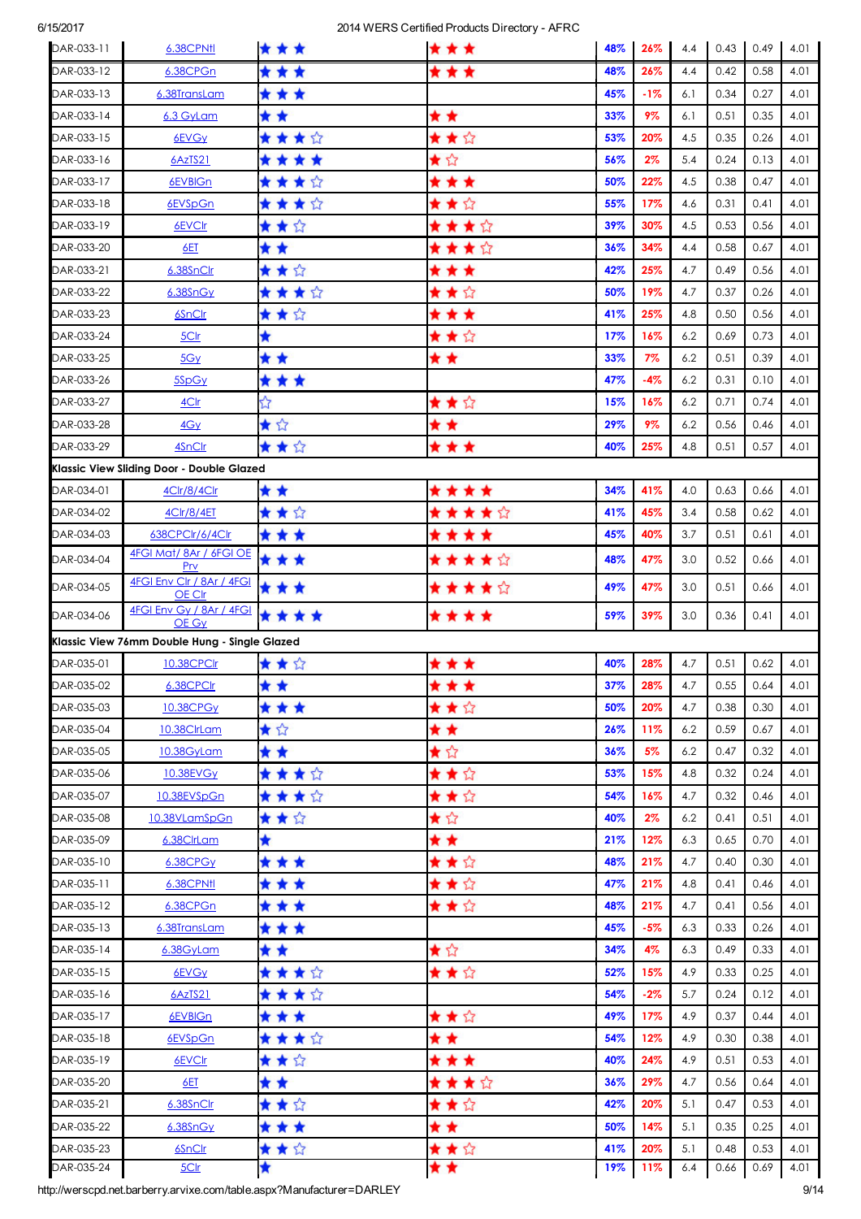| DAR-033-11 | 6.38CPNfl                                     | * * *   | ***     | 48% | 26%    | 4.4 | 0.43 | 0.49        | 4.01 |
|------------|-----------------------------------------------|---------|---------|-----|--------|-----|------|-------------|------|
| DAR-033-12 | 6.38CPGn                                      | * * *   | * * *   | 48% | 26%    | 4.4 | 0.42 | 0.58        | 4.01 |
| DAR-033-13 | 6.38TransLam                                  | ***     |         | 45% | $-1%$  | 6.1 | 0.34 | 0.27        | 4.01 |
| DAR-033-14 | 6.3 GyLam                                     | * *     | * *     | 33% | 9%     | 6.1 | 0.51 | 0.35        | 4.01 |
| DAR-033-15 | 6EVG <sub>Y</sub>                             | ****    | ★★☆     | 53% | 20%    | 4.5 | 0.35 | 0.26        | 4.01 |
| DAR-033-16 | 6AzTS21                                       | ****    | ★☆      | 56% | $2\%$  | 5.4 | 0.24 | 0.13        | 4.01 |
| DAR-033-17 | 6EVBIGn                                       | ★★★☆    | * * *   | 50% | 22%    | 4.5 | 0.38 | 0.47        | 4.01 |
| DAR-033-18 | 6EVSpGn                                       | ★★★☆    | ★★☆     | 55% | 17%    | 4.6 | 0.31 | 0.41        | 4.01 |
| DAR-033-19 | 6EVCIr                                        | ★★☆     | ★★★☆    | 39% | 30%    | 4.5 | 0.53 | 0.56        | 4.01 |
| DAR-033-20 | 6ET                                           | * *     | ★★★☆    | 36% | 34%    | 4.4 | 0.58 | 0.67        | 4.01 |
| DAR-033-21 | 6.38SnClr                                     | ★★☆     | * * *   | 42% | 25%    | 4.7 | 0.49 | 0.56        | 4.01 |
| DAR-033-22 | $6.38$ Sn $Gy$                                | ★★★☆    | ★★☆     | 50% | 19%    | 4.7 | 0.37 | 0.26        | 4.01 |
| DAR-033-23 | 6SnClr                                        | ★★☆     | * * *   | 41% | 25%    | 4.8 | 0.50 | 0.56        | 4.01 |
| DAR-033-24 | 5Clr                                          | ★       | ★★☆     | 17% | 16%    | 6.2 | 0.69 | 0.73        | 4.01 |
| DAR-033-25 | 5Gy                                           | * *     | * *     | 33% | 7%     | 6.2 | 0.51 | 0.39        | 4.01 |
| DAR-033-26 | 5SpGy                                         | ***     |         | 47% | $-4%$  | 6.2 | 0.31 | 0.10        | 4.01 |
| DAR-033-27 | 4C <sub>l</sub>                               | ☆       | ★★☆     | 15% | 16%    | 6.2 | 0.71 | 0.74        | 4.01 |
| DAR-033-28 | 4Gy                                           | ★☆      | * *     | 29% | 9%     | 6.2 | 0.56 | 0.46        | 4.01 |
| DAR-033-29 | 4SnClr                                        | ★★☆     | * * *   | 40% | 25%    | 4.8 | 0.51 | 0.57        | 4.01 |
|            | Klassic View Sliding Door - Double Glazed     |         |         |     |        |     |      |             |      |
| DAR-034-01 | 4Clr/8/4Clr                                   | * *     | ****    | 34% | 41%    | 4.0 | 0.63 | 0.66        | 4.01 |
| DAR-034-02 | 4Clr/8/4ET                                    | ★★☆     | ★★★★☆   | 41% | 45%    | 3.4 | 0.58 | 0.62        | 4.01 |
| DAR-034-03 | 638CPClr/6/4Clr                               | * * *   | ****    | 45% | 40%    | 3.7 | 0.51 | 0.61        | 4.01 |
| DAR-034-04 | 4FGI Mat/8Ar / 6FGI OE<br>Prv                 | * * *   | ★★★★☆   | 48% | 47%    | 3.0 | 0.52 | 0.66        | 4.01 |
| DAR-034-05 | 4FGI Env Clr / 8Ar / 4FGI<br>OE Clr           | ***     | ★★★★☆   | 49% | 47%    | 3.0 | 0.51 | 0.66        | 4.01 |
| DAR-034-06 | 4FGI Env Gy / 8Ar / 4FGI<br>OE Gy             | ****    | * * * * | 59% | 39%    | 3.0 | 0.36 | 0.41        | 4.01 |
|            | Klassic View 76mm Double Hung - Single Glazed |         |         |     |        |     |      |             |      |
| DAR-035-01 | 10.38CPClr                                    | ★★☆     | ***     | 40% | 28%    | 4.7 | 0.51 | 0.62        | 4.01 |
| DAR-035-02 | 6.38CPCIr                                     | * *     | ***     | 37% | 28%    | 4.7 |      | $0.55$ 0.64 | 4.01 |
| DAR-035-03 | 10.38CPGv                                     | * * *   | ★★☆     | 50% | 20%    | 4.7 | 0.38 | 0.30        | 4.01 |
| DAR-035-04 | 10.38ClrLam                                   | ★☆      | * *     | 26% | 11%    | 6.2 | 0.59 | 0.67        | 4.01 |
| DAR-035-05 | 10.38GyLam                                    | * *     | ★☆      | 36% | 5%     | 6.2 | 0.47 | 0.32        | 4.01 |
| DAR-035-06 | 10.38EVGy                                     | ★ ★ ★ ☆ | ★★☆     | 53% | 15%    | 4.8 | 0.32 | 0.24        | 4.01 |
| DAR-035-07 | 10.38EVSpGn                                   | ★★★☆    | ★★☆     | 54% | 16%    | 4.7 | 0.32 | 0.46        | 4.01 |
| DAR-035-08 | 10.38VLamSpGn                                 | ★★☆     | ★☆      | 40% | $2\%$  | 6.2 | 0.41 | 0.51        | 4.01 |
| DAR-035-09 | 6.38ClrLam                                    | ★       | * *     | 21% | 12%    | 6.3 | 0.65 | 0.70        | 4.01 |
| DAR-035-10 | 6.38CPGy                                      | * * *   | ★★☆     | 48% | 21%    | 4.7 | 0.40 | 0.30        | 4.01 |
| DAR-035-11 | 6.38CPN11                                     | * * *   | ★★☆     | 47% | 21%    | 4.8 | 0.41 | 0.46        | 4.01 |
| DAR-035-12 | 6.38CPGn                                      | * * *   | ★★☆     | 48% | 21%    | 4.7 | 0.41 | 0.56        | 4.01 |
| DAR-035-13 | 6.38TransLam                                  | * * *   |         | 45% | $-5%$  | 6.3 | 0.33 | 0.26        | 4.01 |
| DAR-035-14 | 6.38GyLam                                     | * *     | ★☆      | 34% | 4%     | 6.3 | 0.49 | 0.33        | 4.01 |
| DAR-035-15 | 6EVGy                                         | ★★★☆    | ★★☆     | 52% | 15%    | 4.9 | 0.33 | 0.25        | 4.01 |
| DAR-035-16 | 6AzTS21                                       | ★ ★ ★ ☆ |         | 54% | $-2\%$ | 5.7 | 0.24 | 0.12        | 4.01 |
| DAR-035-17 | 6EVBIGn                                       | * * *   | ★★☆     | 49% | 17%    | 4.9 | 0.37 | 0.44        | 4.01 |
| DAR-035-18 | 6EVSpGn                                       | ★ ★ ★ ☆ | * *     | 54% | 12%    | 4.9 | 0.30 | 0.38        | 4.01 |
| DAR-035-19 | 6EVCIr                                        | ★★☆     | * * *   | 40% | 24%    | 4.9 | 0.51 | 0.53        | 4.01 |
| DAR-035-20 | 6ET                                           | * *     | ★★★☆    | 36% | 29%    | 4.7 | 0.56 | 0.64        | 4.01 |
| DAR-035-21 | 6.38SnClr                                     | ★★☆     | ★★☆     | 42% | 20%    | 5.1 | 0.47 | 0.53        | 4.01 |
| DAR-035-22 | 6.38SnGy                                      | * * *   | * *     | 50% | 14%    | 5.1 | 0.35 | 0.25        | 4.01 |
| DAR-035-23 | 6SnClr                                        | ★★☆     | ★★☆     | 41% | 20%    | 5.1 | 0.48 | 0.53        | 4.01 |
| DAR-035-24 | 5Clr                                          | ★       | * *     | 19% | 11%    | 6.4 | 0.66 | 0.69        | 4.01 |

**http://werscpd.net.barberry.arvixe.com/table.aspx?Manufacturer=DARLEY**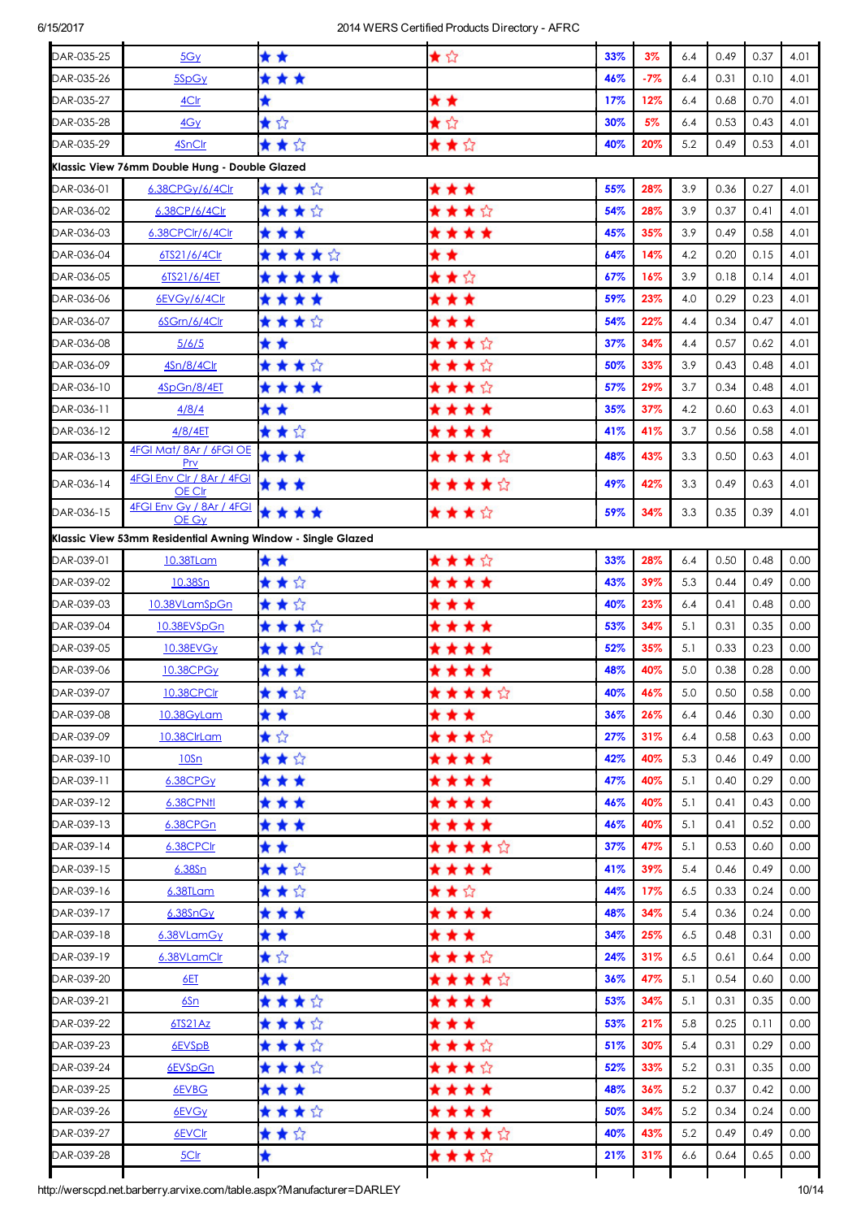| DAR-035-25 | 5Gy                                                         | * *     | ★☆    | 33% | 3%    | 6.4 | 0.49 | 0.37 | 4.01              |
|------------|-------------------------------------------------------------|---------|-------|-----|-------|-----|------|------|-------------------|
| DAR-035-26 | 5SpGy                                                       | * * *   |       | 46% | $-7%$ | 6.4 | 0.31 | 0.10 | 4.01              |
| DAR-035-27 | 4Clr                                                        | ★       | * *   | 17% | 12%   | 6.4 | 0.68 | 0.70 | 4.01              |
| DAR-035-28 | 4Gy                                                         | ★☆      | ★☆    | 30% | 5%    | 6.4 | 0.53 | 0.43 | 4.01              |
| DAR-035-29 | 4SnClr                                                      | ★★☆     | ★★☆   | 40% | 20%   | 5.2 | 0.49 | 0.53 | 4.01              |
|            | Klassic View 76mm Double Hung - Double Glazed               |         |       |     |       |     |      |      |                   |
| DAR-036-01 | 6.38CPGy/6/4Clr                                             | ★★★☆    | * * * | 55% | 28%   | 3.9 | 0.36 | 0.27 | 4.01              |
| DAR-036-02 | 6.38CP/6/4Clr                                               | ★★★☆    | ****  | 54% | 28%   | 3.9 | 0.37 | 0.41 | 4.01              |
| DAR-036-03 | 6.38CPClr/6/4Clr                                            | * * *   | ****  | 45% | 35%   | 3.9 | 0.49 | 0.58 | 4.01              |
| DAR-036-04 | 6TS21/6/4Clr                                                | *****   | * *   | 64% | 14%   | 4.2 | 0.20 | 0.15 | 4.01              |
| DAR-036-05 | 6TS21/6/4ET                                                 | *****   | ★★☆   | 67% | 16%   | 3.9 | 0.18 | 0.14 | 4.01              |
| DAR-036-06 | 6EVGy/6/4Clr                                                | ****    | * * * | 59% | 23%   | 4.0 | 0.29 | 0.23 | 4.01              |
| DAR-036-07 | 6SGrn/6/4Clr                                                | ★★★☆    | * * * | 54% | 22%   | 4.4 | 0.34 | 0.47 | 4.01              |
| DAR-036-08 | 5/6/5                                                       | * *     | ★★★☆  | 37% | 34%   | 4.4 | 0.57 | 0.62 | 4.01              |
| DAR-036-09 | 4Sn/8/4C                                                    | ★★★☆    | ★★★☆  | 50% | 33%   | 3.9 | 0.43 | 0.48 | 4.01              |
| DAR-036-10 | 4SpGn/8/4ET                                                 | ****    | ★★★☆  | 57% | 29%   | 3.7 | 0.34 | 0.48 | 4.01              |
| DAR-036-11 | 4/8/4                                                       | * *     | ****  | 35% | 37%   | 4.2 | 0.60 | 0.63 | 4.01              |
| DAR-036-12 | 4/8/4ET                                                     | ★★☆     | ****  | 41% | 41%   | 3.7 | 0.56 | 0.58 | 4.01              |
| DAR-036-13 | 4FGI Mat/8Ar / 6FGI OE<br>Prv                               | * * *   | ★★★★☆ | 48% | 43%   | 3.3 | 0.50 | 0.63 | 4.01              |
| DAR-036-14 | 4FGI Env Clr / 8Ar / 4FGI<br>OE Clr                         | * * *   | ★★★★☆ | 49% | 42%   | 3.3 | 0.49 | 0.63 | 4.01              |
| DAR-036-15 | 4FGI Env Gy / 8Ar / 4FGI<br>OE Gy                           | ****    | ****  | 59% | 34%   | 3.3 | 0.35 | 0.39 | 4.01              |
|            | Klassic View 53mm Residential Awning Window - Single Glazed |         |       |     |       |     |      |      |                   |
| DAR-039-01 | 10.38TLam                                                   | * *     | ****  | 33% | 28%   | 6.4 | 0.50 | 0.48 | 0.00              |
| DAR-039-02 | 10.38Sn                                                     | ★★☆     | ****  | 43% | 39%   | 5.3 | 0.44 | 0.49 | 0.00              |
| DAR-039-03 | 10.38VLamSpGn                                               | ★★☆     | * * * | 40% | 23%   | 6.4 | 0.41 | 0.48 | 0.00              |
| DAR-039-04 | 10.38EVSpGn                                                 | ★★★☆    | ****  | 53% | 34%   | 5.1 | 0.31 | 0.35 | 0.00              |
| DAR-039-05 | 10.38EVGy                                                   | ★★★☆    | ****  | 52% | 35%   | 5.1 | 0.33 | 0.23 | 0.00              |
| DAR-039-06 | 10.38CPG <sub>Y</sub>                                       | * * *   | ****  | 48% | 40%   | 5.0 | 0.38 | 0.28 | 0.00              |
| DAR-039-07 | 10.38CPClr                                                  | ★★☆     | ***** | 40% | 46%   | 5.0 | 0.50 | 0.58 | 0.00              |
| DAR-039-08 | 10.38GyLam                                                  | * *     | ***   | 36% | 26%   | 6.4 | 0.46 | 0.30 | 0.00              |
| DAR-039-09 | 10.38ClrLam                                                 | ★☆      | ★★★☆  | 27% | 31%   | 6.4 | 0.58 | 0.63 | 0.00              |
| DAR-039-10 | 10Sn                                                        | ★★☆     | ****  | 42% | 40%   | 5.3 | 0.46 | 0.49 | 0.00              |
| DAR-039-11 | 6.38CPGy                                                    | * * *   | ****  | 47% | 40%   | 5.1 | 0.40 | 0.29 | 0.00              |
| DAR-039-12 | 6.38CPNfl                                                   | * * *   | ****  | 46% | 40%   | 5.1 | 0.41 | 0.43 | 0.00              |
| DAR-039-13 | 6.38CPGn                                                    | * * *   | ****  | 46% | 40%   | 5.1 | 0.41 | 0.52 | 0.00              |
| DAR-039-14 | 6.38CPClr                                                   | * *     | ★★★★☆ | 37% | 47%   | 5.1 | 0.53 | 0.60 | 0.00              |
| DAR-039-15 | $6.38$ Sn                                                   | ★★☆     | ****  | 41% | 39%   | 5.4 | 0.46 | 0.49 | 0.00 <sub>1</sub> |
| DAR-039-16 | 6.38TLam                                                    | ★★☆     | ★★☆   | 44% | 17%   | 6.5 | 0.33 | 0.24 | 0.00              |
| DAR-039-17 | 6.38SnGy                                                    | * * *   | ****  | 48% | 34%   | 5.4 | 0.36 | 0.24 | 0.00              |
| DAR-039-18 | 6.38VLamGy                                                  | * *     | * * * | 34% | 25%   | 6.5 | 0.48 | 0.31 | 0.00              |
| DAR-039-19 | 6.38VLamClr                                                 | ★☆      | ★★★☆  | 24% | 31%   | 6.5 | 0.61 | 0.64 | 0.00              |
| DAR-039-20 | 6ET                                                         | * *     | ★★★★☆ | 36% | 47%   | 5.1 | 0.54 | 0.60 | 0.00              |
| DAR-039-21 | 6Sn                                                         | ★★★☆    | ****  | 53% | 34%   | 5.1 | 0.31 | 0.35 | 0.00              |
| DAR-039-22 | 6TS21Az                                                     | ★★★☆    | * * * | 53% | 21%   | 5.8 | 0.25 | 0.11 | 0.00              |
| DAR-039-23 | 6EVSpB                                                      | ★★★☆    | ★★★☆  | 51% | 30%   | 5.4 | 0.31 | 0.29 | 0.00              |
| DAR-039-24 | 6EVSpGn                                                     | ★ ★ ★ ☆ | ★★★☆  | 52% | 33%   | 5.2 | 0.31 | 0.35 | 0.00              |
| DAR-039-25 | 6EVBG                                                       | ***     | ****  | 48% | 36%   | 5.2 | 0.37 | 0.42 | 0.00              |
| DAR-039-26 | 6EVGy                                                       | ★ ★ ★ ☆ | ****  | 50% | 34%   | 5.2 | 0.34 | 0.24 | 0.00              |
| DAR-039-27 | 6EVCIr                                                      | ★★☆     | ★★★★☆ | 40% | 43%   | 5.2 | 0.49 | 0.49 | 0.00              |
| DAR-039-28 | 5Clr                                                        | ★       | ★★★☆  | 21% | 31%   | 6.6 | 0.64 | 0.65 | 0.00              |
|            |                                                             |         |       |     |       |     |      |      |                   |

http://werscpd.net.barberry.arvixe.com/table.aspx?Manufacturer=DARLEY 10/14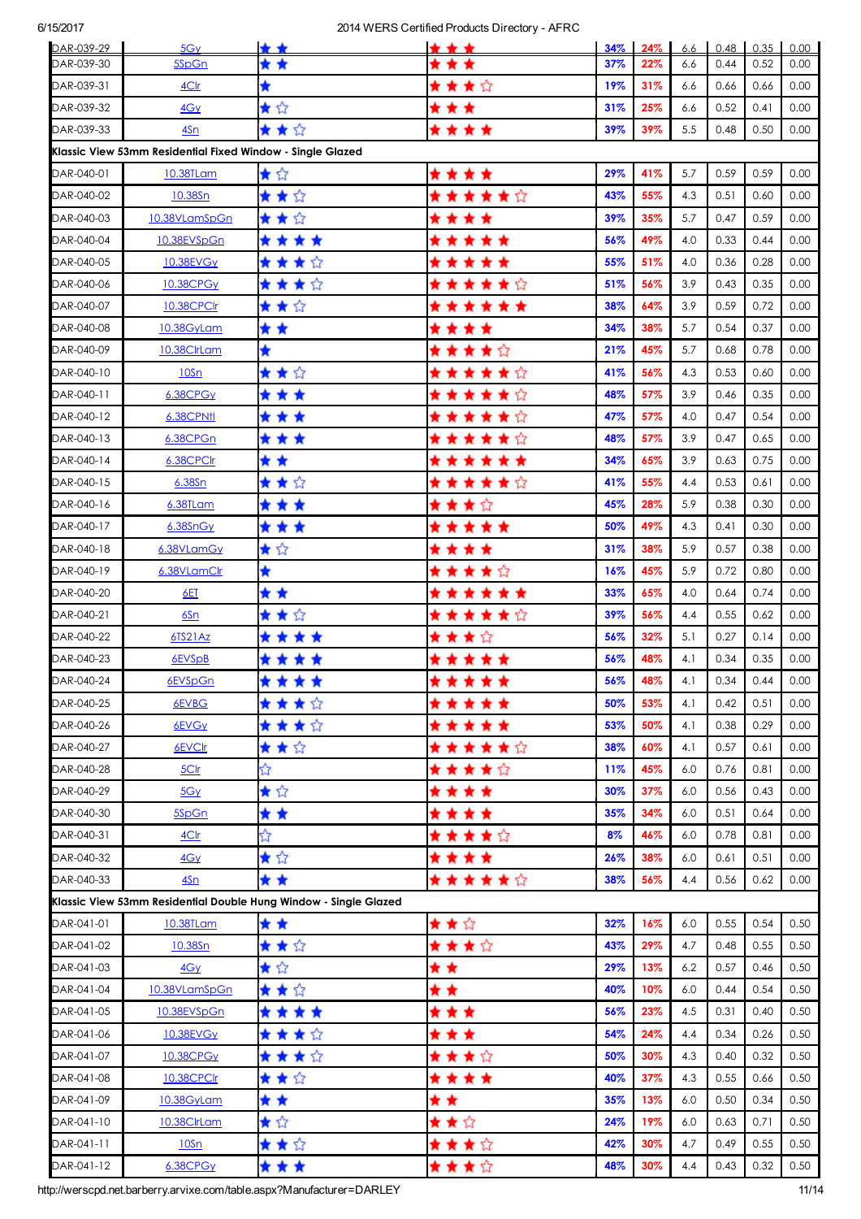| DAR-039-29 | 5G <sub>V</sub>                                                  | * *     | * * *  | $34\%$ | 24% | 6.6 | 0.48 | 0.35 | 0.00 |
|------------|------------------------------------------------------------------|---------|--------|--------|-----|-----|------|------|------|
| DAR-039-30 | 5SpGn                                                            | * *     |        | 37%    | 22% | 6.6 | 0.44 | 0.52 | 0.00 |
| DAR-039-31 | 4Clr                                                             | ★       | ★★★☆   | 19%    | 31% | 6.6 | 0.66 | 0.66 | 0.00 |
| DAR-039-32 | 4Gy                                                              | ★☆      | * * *  | 31%    | 25% | 6.6 | 0.52 | 0.41 | 0.00 |
| DAR-039-33 | 4Sn                                                              | ★★☆     | ****   | 39%    | 39% | 5.5 | 0.48 | 0.50 | 0.00 |
|            | Klassic View 53mm Residential Fixed Window - Single Glazed       |         |        |        |     |     |      |      |      |
| DAR-040-01 | 10.38TLam                                                        | ★☆      | ****   | 29%    | 41% | 5.7 | 0.59 | 0.59 | 0.00 |
| DAR-040-02 | 10.38Sn                                                          | ★★☆     | ★★★★★☆ | 43%    | 55% | 4.3 | 0.51 | 0.60 | 0.00 |
| DAR-040-03 | 10.38VLamSpGn                                                    | ★★☆     | ****   | 39%    | 35% | 5.7 | 0.47 | 0.59 | 0.00 |
| DAR-040-04 | 10.38EVSpGn                                                      | ****    | *****  | 56%    | 49% | 4.0 | 0.33 | 0.44 | 0.00 |
| DAR-040-05 | 10.38EVGy                                                        | ★★★☆    | *****  | 55%    | 51% | 4.0 | 0.36 | 0.28 | 0.00 |
| DAR-040-06 | <b>10.38CPGy</b>                                                 | ★★★☆    | ★★★★★☆ | 51%    | 56% | 3.9 | 0.43 | 0.35 | 0.00 |
| DAR-040-07 | 10.38CPClr                                                       | ★★☆     | ****** | 38%    | 64% | 3.9 | 0.59 | 0.72 | 0.00 |
| DAR-040-08 | 10.38GyLam                                                       | * *     | ****   | 34%    | 38% | 5.7 | 0.54 | 0.37 | 0.00 |
| DAR-040-09 | 10.38ClrLam                                                      | ★       | ★★★★☆  | 21%    | 45% | 5.7 | 0.68 | 0.78 | 0.00 |
| DAR-040-10 | 10Sn                                                             | ★★☆     | ★★★★★☆ | 41%    | 56% | 4.3 | 0.53 | 0.60 | 0.00 |
| DAR-040-11 | 6.38CPGy                                                         | * * *   | ★★★★★☆ | 48%    | 57% | 3.9 | 0.46 | 0.35 | 0.00 |
| DAR-040-12 | 6.38CPNtl                                                        | * * *   | ★★★★★☆ | 47%    | 57% | 4.0 | 0.47 | 0.54 | 0.00 |
| DAR-040-13 | 6.38CPGn                                                         | * * *   | ★★★★★☆ | 48%    | 57% | 3.9 | 0.47 | 0.65 | 0.00 |
| DAR-040-14 | 6.38CPClr                                                        | * *     | ****** | 34%    | 65% | 3.9 | 0.63 | 0.75 | 0.00 |
| DAR-040-15 | 6.38Sn                                                           | ★★☆     | ★★★★★☆ | 41%    | 55% | 4.4 | 0.53 | 0.61 | 0.00 |
| DAR-040-16 | 6.38TLam                                                         | * * *   | ★★★☆   | 45%    | 28% | 5.9 | 0.38 | 0.30 | 0.00 |
| DAR-040-17 | 6.38SnGy                                                         | * * *   | *****  | 50%    | 49% | 4.3 | 0.41 | 0.30 | 0.00 |
| DAR-040-18 | 6.38VLamGy                                                       | ★☆      | ****   | 31%    | 38% | 5.9 | 0.57 | 0.38 | 0.00 |
| DAR-040-19 | 6.38VLamClr                                                      | ★       | ★★★★☆  | 16%    | 45% | 5.9 | 0.72 | 0.80 | 0.00 |
| DAR-040-20 | 6ET                                                              | * *     | ****** | 33%    | 65% | 4.0 | 0.64 | 0.74 | 0.00 |
| DAR-040-21 | 6Sn                                                              | ★★☆     | ★★★★★☆ | 39%    | 56% | 4.4 | 0.55 | 0.62 | 0.00 |
| DAR-040-22 | 6TS21Az                                                          | ****    | ****   | 56%    | 32% | 5.1 | 0.27 | 0.14 | 0.00 |
| DAR-040-23 | 6EVSpB                                                           | ****    | *****  | 56%    | 48% | 4.1 | 0.34 | 0.35 | 0.00 |
| DAR-040-24 | 6EVSpGn                                                          | ****    | *****  | 56%    | 48% | 4.1 | 0.34 | 0.44 | 0.00 |
| DAR-040-25 | 6EVBG                                                            | ★★★☆    | *****  | 50%    | 53% | 4.1 | 0.42 | 0.51 | 0.00 |
| DAR-040-26 | 6EVGy                                                            | ****    | *****  | 53%    | 50% | 4.1 | 0.38 | 0.29 | 0.00 |
| DAR-040-27 | 6EVCIr                                                           | ★★☆     | ★★★★★☆ | 38%    | 60% | 4.1 | 0.57 | 0.61 | 0.00 |
| DAR-040-28 | 5Clr                                                             | ☆       | ★★★★☆  | 11%    | 45% | 6.0 | 0.76 | 0.81 | 0.00 |
| DAR-040-29 | 5Gy                                                              | ★☆      | ****   | 30%    | 37% | 6.0 | 0.56 | 0.43 | 0.00 |
| DAR-040-30 | 5SpGn                                                            | * *     | ****   | 35%    | 34% | 6.0 | 0.51 | 0.64 | 0.00 |
| DAR-040-31 | 4C <sub>l</sub>                                                  | ☆       | ★★★★☆  | 8%     | 46% | 6.0 | 0.78 | 0.81 | 0.00 |
| DAR-040-32 | 4Gy                                                              | ★☆      | ****   | 26%    | 38% | 6.0 | 0.61 | 0.51 | 0.00 |
| DAR-040-33 | 4Sn                                                              | * *     | ★★★★★☆ | 38%    | 56% | 4.4 | 0.56 | 0.62 | 0.00 |
|            | Klassic View 53mm Residential Double Hung Window - Single Glazed |         |        |        |     |     |      |      |      |
| DAR-041-01 | 10.38TLam                                                        | * *     | ★★☆    | 32%    | 16% | 6.0 | 0.55 | 0.54 | 0.50 |
| DAR-041-02 | 10.38Sn                                                          | ★★☆     | ★★★☆   | 43%    | 29% | 4.7 | 0.48 | 0.55 | 0.50 |
| DAR-041-03 | 4Gy                                                              | ★☆      | * *    | 29%    | 13% | 6.2 | 0.57 | 0.46 | 0.50 |
| DAR-041-04 | 10.38VLamSpGn                                                    | ★★☆     | * *    | 40%    | 10% | 6.0 | 0.44 | 0.54 | 0.50 |
| DAR-041-05 | 10.38EVSpGn                                                      | ****    | ***    | 56%    | 23% | 4.5 | 0.31 | 0.40 | 0.50 |
| DAR-041-06 | 10.38EVGy                                                        | ★★★☆    | * * *  | 54%    | 24% | 4.4 | 0.34 | 0.26 | 0.50 |
| DAR-041-07 | <b>10.38CPGy</b>                                                 | ★ ★ ★ ☆ | ★★★☆   | 50%    | 30% | 4.3 | 0.40 | 0.32 | 0.50 |
| DAR-041-08 | 10.38CPClr                                                       | ★★☆     | ****   | 40%    | 37% | 4.3 | 0.55 | 0.66 | 0.50 |
| DAR-041-09 | <u>10.38GyLam</u>                                                | * *     | * *    | 35%    | 13% | 6.0 | 0.50 | 0.34 | 0.50 |
| DAR-041-10 | 10.38ClrLam                                                      | ★☆      | ★★☆    | 24%    | 19% | 6.0 | 0.63 | 0.71 | 0.50 |
| DAR-041-11 | 10Sn                                                             | ★★☆     | ****   | 42%    | 30% | 4.7 | 0.49 | 0.55 | 0.50 |
| DAR-041-12 | 6.38CPGy                                                         | ***     | ★★★☆   | 48%    | 30% | 4.4 | 0.43 | 0.32 | 0.50 |

http://werscpd.net.barberry.arvixe.com/table.aspx?Manufacturer=DARLEY 11/14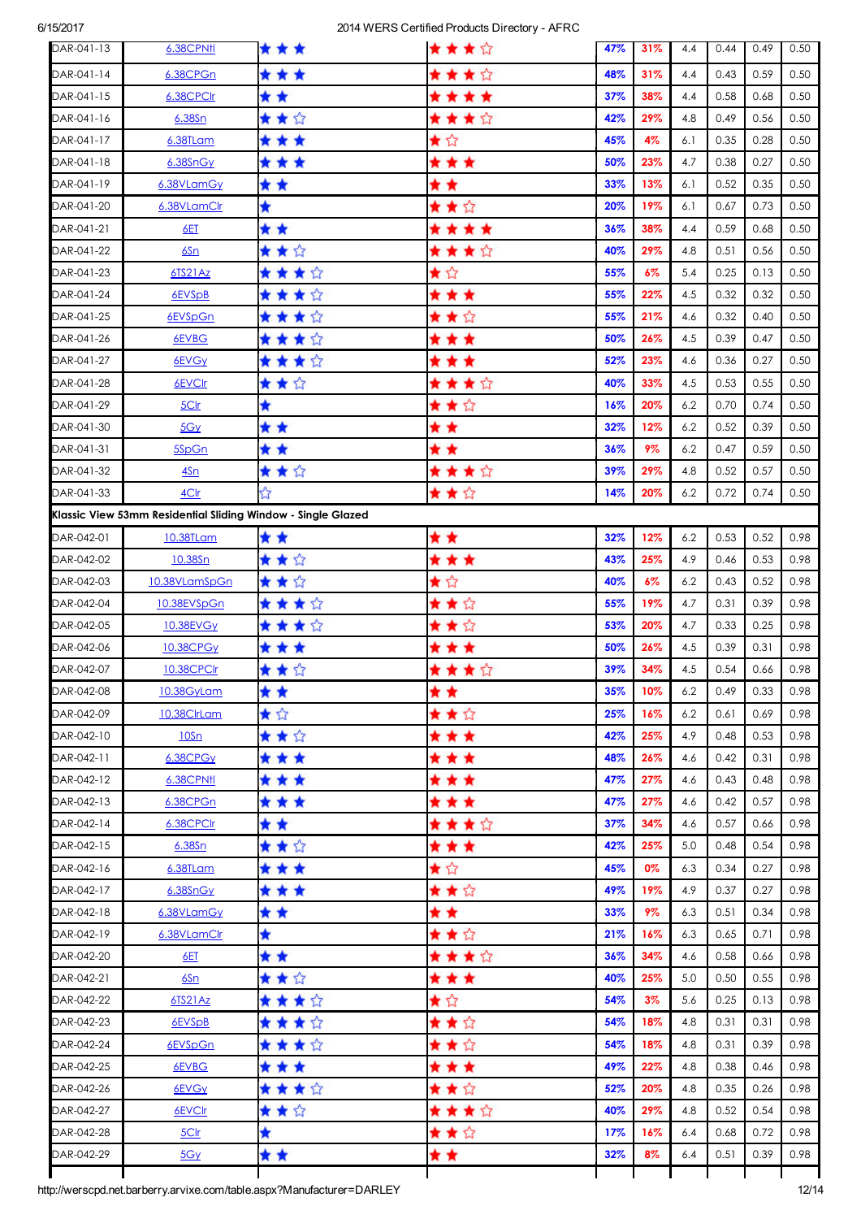| DAR-041-13 | 6.38CPNtl                                                    | * * *   | ★★★☆  | 47% | 31%   | 4.4 | 0.44 | 0.49 | 0.50 |
|------------|--------------------------------------------------------------|---------|-------|-----|-------|-----|------|------|------|
| DAR-041-14 | 6.38CPGn                                                     | ***     | ★★★☆  | 48% | 31%   | 4.4 | 0.43 | 0.59 | 0.50 |
| DAR-041-15 | 6.38CPClr                                                    | * *     | ****  | 37% | 38%   | 4.4 | 0.58 | 0.68 | 0.50 |
| DAR-041-16 | 6.38Sn                                                       | ★★☆     | ★★★☆  | 42% | 29%   | 4.8 | 0.49 | 0.56 | 0.50 |
| DAR-041-17 | 6.38TLam                                                     | * * *   | ★☆    | 45% | 4%    | 6.1 | 0.35 | 0.28 | 0.50 |
| DAR-041-18 | 6.38SnGy                                                     | ***     | * * * | 50% | 23%   | 4.7 | 0.38 | 0.27 | 0.50 |
| DAR-041-19 | 6.38VLamGy                                                   | * *     | * *   | 33% | 13%   | 6.1 | 0.52 | 0.35 | 0.50 |
| DAR-041-20 | 6.38VLamClr                                                  | ★       | ★★☆   | 20% | 19%   | 6.1 | 0.67 | 0.73 | 0.50 |
| DAR-041-21 | 6ET                                                          | * *     | ****  | 36% | 38%   | 4.4 | 0.59 | 0.68 | 0.50 |
| DAR-041-22 | 6Sn                                                          | ★★☆     | ★★★☆  | 40% | 29%   | 4.8 | 0.51 | 0.56 | 0.50 |
| DAR-041-23 | 6TS21Az                                                      | ★ ★ ★ ☆ | ★☆    | 55% | $6\%$ | 5.4 | 0.25 | 0.13 | 0.50 |
| DAR-041-24 | 6EVSpB                                                       | ★ ★ ★ ☆ | * * * | 55% | 22%   | 4.5 | 0.32 | 0.32 | 0.50 |
| DAR-041-25 | 6EVSpGn                                                      | ★ ★ ★ ☆ | ★★☆   | 55% | 21%   | 4.6 | 0.32 | 0.40 | 0.50 |
| DAR-041-26 | 6EVBG                                                        | ★ ★ ★ ☆ | * * * | 50% | 26%   | 4.5 | 0.39 | 0.47 | 0.50 |
| DAR-041-27 | 6EVGy                                                        | ★★★☆    | ***   | 52% | 23%   | 4.6 | 0.36 | 0.27 | 0.50 |
| DAR-041-28 | 6EVCIr                                                       | ★★☆     | ★★★☆  | 40% | 33%   | 4.5 | 0.53 | 0.55 | 0.50 |
| DAR-041-29 | 5Clr                                                         | ★       | ★★☆   | 16% | 20%   | 6.2 | 0.70 | 0.74 | 0.50 |
| DAR-041-30 | 5Gy                                                          | * *     | * *   | 32% | 12%   | 6.2 | 0.52 | 0.39 | 0.50 |
| DAR-041-31 | 5SpGn                                                        | * *     | * *   | 36% | 9%    | 6.2 | 0.47 | 0.59 | 0.50 |
| DAR-041-32 | <u>4Sn</u>                                                   | ★★☆     | ★★★☆  | 39% | 29%   | 4.8 | 0.52 | 0.57 | 0.50 |
| DAR-041-33 | 4Clr                                                         | ☆       | ★★☆   | 14% | 20%   | 6.2 | 0.72 | 0.74 | 0.50 |
|            | Klassic View 53mm Residential Sliding Window - Single Glazed |         |       |     |       |     |      |      |      |
| DAR-042-01 | 10.38TLam                                                    | * *     | * *   | 32% | 12%   | 6.2 | 0.53 | 0.52 | 0.98 |
| DAR-042-02 | 10.38Sn                                                      | ★★☆     | * * * | 43% | 25%   | 4.9 | 0.46 | 0.53 | 0.98 |
| DAR-042-03 | 10.38VLamSpGn                                                | ★★☆     | ★☆    | 40% | $6\%$ | 6.2 | 0.43 | 0.52 | 0.98 |
| DAR-042-04 | 10.38EVSpGn                                                  | ★★★☆    | ★★☆   | 55% | 19%   | 4.7 | 0.31 | 0.39 | 0.98 |
| DAR-042-05 | 10.38EVG <sub>Y</sub>                                        | ★★★☆    | ★★☆   | 53% | 20%   | 4.7 | 0.33 | 0.25 | 0.98 |
| DAR-042-06 | 10.38CPG <sub>V</sub>                                        | * * *   | * * * | 50% | 26%   | 4.5 | 0.39 | 0.31 | 0.98 |
| DAR-042-07 | 10.38CPClr                                                   | ★★☆     | ★★★☆  | 39% | 34%   | 4.5 | 0.54 | 0.66 | 0.98 |
| DAR-042-08 | 10.38GyLam                                                   | * *     | * *   | 35% | 10%   | 6.2 | 0.49 | 0.33 | 0.98 |
| DAR-042-09 | 10.38ClrLam                                                  | ★☆      | ★★☆   | 25% | 16%   | 6.2 | 0.61 | 0.69 | 0.98 |
| DAR-042-10 | 10Sn                                                         | ★★☆     | * * * | 42% | 25%   | 4.9 | 0.48 | 0.53 | 0.98 |
| DAR-042-11 | 6.38CPGy                                                     | * * *   | * * * | 48% | 26%   | 4.6 | 0.42 | 0.31 | 0.98 |
| DAR-042-12 | 6.38CPNfl                                                    | * * *   | * * * | 47% | 27%   | 4.6 | 0.43 | 0.48 | 0.98 |
| DAR-042-13 | 6.38CPGn                                                     | * * *   | * * * | 47% | 27%   | 4.6 | 0.42 | 0.57 | 0.98 |
| DAR-042-14 | 6.38CPClr                                                    | * *     | ★★★☆  | 37% | 34%   | 4.6 | 0.57 | 0.66 | 0.98 |
| DAR-042-15 | 6.38Sn                                                       | ★★☆     | * * * | 42% | 25%   | 5.0 | 0.48 | 0.54 | 0.98 |
| DAR-042-16 | 6.38TLam                                                     | * * *   | ★☆    | 45% | 0%    | 6.3 | 0.34 | 0.27 | 0.98 |
| DAR-042-17 | $6.38$ Sn $Gy$                                               | * * *   | ★★☆   | 49% | 19%   | 4.9 | 0.37 | 0.27 | 0.98 |
| DAR-042-18 | 6.38VLamGy                                                   | * *     | * *   | 33% | 9%    | 6.3 | 0.51 | 0.34 | 0.98 |
| DAR-042-19 | 6.38VLamClr                                                  | ★       | ★★☆   | 21% | 16%   | 6.3 | 0.65 | 0.71 | 0.98 |
| DAR-042-20 | 6ET                                                          | * *     | ★★★☆  | 36% | 34%   | 4.6 | 0.58 | 0.66 | 0.98 |
| DAR-042-21 | 6Sn                                                          | ★★☆     | * * * | 40% | 25%   | 5.0 | 0.50 | 0.55 | 0.98 |
| DAR-042-22 | 6TS21Az                                                      | ★★★☆    | ★☆    | 54% | $3\%$ | 5.6 | 0.25 | 0.13 | 0.98 |
| DAR-042-23 | 6EVSpB                                                       | ★★★☆    | ★★☆   | 54% | 18%   | 4.8 | 0.31 | 0.31 | 0.98 |
| DAR-042-24 | 6EVSpGn                                                      | ★ ★ ★ ☆ | ★★☆   | 54% | 18%   | 4.8 | 0.31 | 0.39 | 0.98 |
| DAR-042-25 | 6EVBG                                                        | ***     | * * * | 49% | 22%   | 4.8 | 0.38 | 0.46 | 0.98 |
| DAR-042-26 | 6EVGy                                                        | ★ ★ ★ ☆ | ★★☆   | 52% | 20%   | 4.8 | 0.35 | 0.26 | 0.98 |
| DAR-042-27 | 6EVCIr                                                       | ★★☆     | ★★★☆  | 40% | 29%   | 4.8 | 0.52 | 0.54 | 0.98 |
| DAR-042-28 | 5Clr                                                         | ★       | ★★☆   | 17% | 16%   | 6.4 | 0.68 | 0.72 | 0.98 |
| DAR-042-29 | 5Gy                                                          | * *     | * *   | 32% | 8%    | 6.4 | 0.51 | 0.39 | 0.98 |
|            |                                                              |         |       |     |       |     |      |      |      |

http://werscpd.net.barberry.arvixe.com/table.aspx?Manufacturer=DARLEY 12/14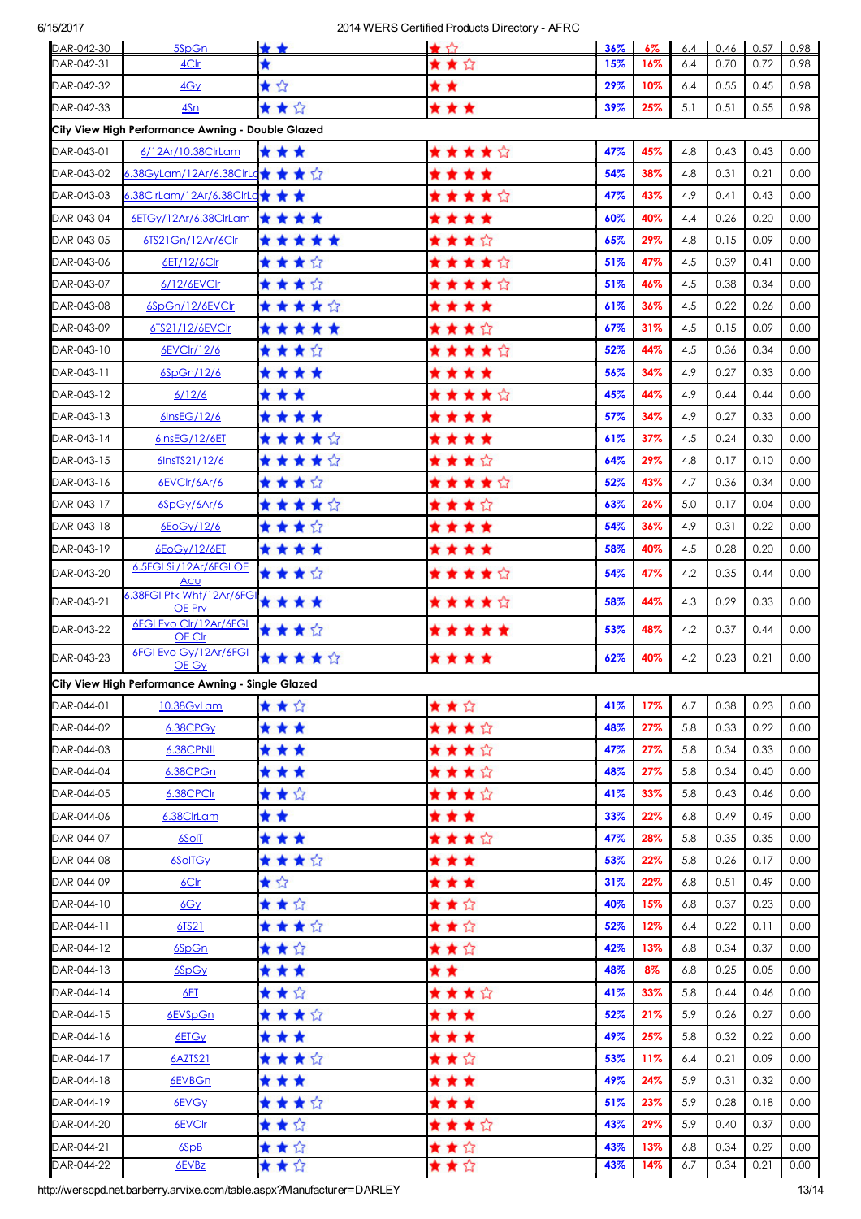| DAR-042-30 | 5SpGn                                                                | * *     | $\star$ 57 | 36% | $6\%$ | 6.4 | 0.46 | 0.57 | 0.98  |
|------------|----------------------------------------------------------------------|---------|------------|-----|-------|-----|------|------|-------|
| DAR-042-31 | 4Clr                                                                 |         | ★★☆        | 15% | 16%   | 6.4 | 0.70 | 0.72 | 0.98  |
| DAR-042-32 | 4Gy                                                                  | ★☆      | * *        | 29% | 10%   | 6.4 | 0.55 | 0.45 | 0.98  |
| DAR-042-33 | 4Sn                                                                  | ★★☆     | * * *      | 39% | 25%   | 5.1 | 0.51 | 0.55 | 0.98  |
|            | City View High Performance Awning - Double Glazed                    |         |            |     |       |     |      |      |       |
| DAR-043-01 | 6/12Ar/10.38ClrLam                                                   | * * *   | ★★★★☆      | 47% | 45%   | 4.8 | 0.43 | 0.43 | 0.00  |
| DAR-043-02 | 6.38GyLam/12Ar/6.38ClrLq★ ★ ★ ☆                                      |         | ****       | 54% | 38%   | 4.8 | 0.31 | 0.21 | 0.00  |
| DAR-043-03 | 6.38ClrLam/12Ar/6.38ClrLa★ ★ ★                                       |         | ★★★★☆      | 47% | 43%   | 4.9 | 0.41 | 0.43 | 0.00  |
| DAR-043-04 | 6ETGy/12Ar/6.38ClrLam                                                | ****    | ****       | 60% | 40%   | 4.4 | 0.26 | 0.20 | 0.00  |
| DAR-043-05 | 6TS21Gn/12Ar/6Clr                                                    | *****   | ★★★☆       | 65% | 29%   | 4.8 | 0.15 | 0.09 | 0.00  |
| DAR-043-06 | 6ET/12/6Clr                                                          | ★★★☆    | ★★★★☆      | 51% | 47%   | 4.5 | 0.39 | 0.41 | 0.00  |
| DAR-043-07 | 6/12/6EVCIr                                                          | ★★★☆    | ★★★★☆      | 51% | 46%   | 4.5 | 0.38 | 0.34 | 0.00  |
| DAR-043-08 | 6SpGn/12/6EVClr                                                      | ★★★★☆   | ****       | 61% | 36%   | 4.5 | 0.22 | 0.26 | 0.00  |
| DAR-043-09 | 6TS21/12/6EVClr                                                      | *****   | ★★★☆       | 67% | 31%   | 4.5 | 0.15 | 0.09 | 0.00  |
| DAR-043-10 | 6EVClr/12/6                                                          | ★★★☆    | ★★★★☆      | 52% | 44%   | 4.5 | 0.36 | 0.34 | 0.00  |
| DAR-043-11 | 6SpGn/12/6                                                           | ****    | * * * *    | 56% | 34%   | 4.9 | 0.27 | 0.33 | 0.00  |
| DAR-043-12 | 6/12/6                                                               | * * *   | ★★★★☆      | 45% | 44%   | 4.9 | 0.44 | 0.44 | 0.00  |
| DAR-043-13 | 6InsEG/12/6                                                          | ****    | * * * *    | 57% | 34%   | 4.9 | 0.27 | 0.33 | 0.00  |
| DAR-043-14 | 6InsEG/12/6ET                                                        | *****   | * * * *    | 61% | 37%   | 4.5 | 0.24 | 0.30 | 0.00  |
| DAR-043-15 | 6InsTS21/12/6                                                        | *****   | ★★★☆       | 64% | 29%   | 4.8 | 0.17 | 0.10 | 0.00  |
| DAR-043-16 | 6EVCIr/6Ar/6                                                         | ****    | ★★★★☆      | 52% | 43%   | 4.7 | 0.36 | 0.34 | 0.00  |
| DAR-043-17 | 6SpGy/6Ar/6                                                          | ★★★★☆   | ★★★☆       | 63% | 26%   | 5.0 | 0.17 | 0.04 | 0.00  |
| DAR-043-18 | 6EoGy/12/6                                                           | ★★★☆    | * * * *    | 54% | 36%   | 4.9 | 0.31 | 0.22 | 0.00  |
| DAR-043-19 | 6EoGy/12/6ET                                                         | ****    | * * * *    | 58% | 40%   | 4.5 | 0.28 | 0.20 | 0.00  |
| DAR-043-20 | 6.5FGI Sil/12Ar/6FGI OE<br><u>Acu</u>                                | ★★★☆    | ★★★★☆      | 54% | 47%   | 4.2 | 0.35 | 0.44 | 0.00  |
| DAR-043-21 | 3.38FGI Ptk Wht/12Ar/6FGI<br>OE Prv                                  | ****    | ★★★★☆      | 58% | 44%   | 4.3 | 0.29 | 0.33 | 0.00  |
| DAR-043-22 | 6FGI Evo Clr/12Ar/6FGI<br>OE Clr                                     | ****    | *****      | 53% | 48%   | 4.2 | 0.37 | 0.44 | 0.00  |
| DAR-043-23 | 6FGI Evo Gy/12Ar/6FGI<br>OE Gy                                       | *****   | ****       | 62% | 40%   | 4.2 | 0.23 | 0.21 | 0.00  |
|            | City View High Performance Awning - Single Glazed                    |         |            |     |       |     |      |      |       |
| DAR-044-01 | 10.38GyLam                                                           | ★★☆     | ★★☆        | 41% | 17%   | 6.7 | 0.38 | 0.23 | 0.00  |
| DAR-044-02 | 6.38CPGy                                                             | * * *   | ★★★☆       | 48% | 27%   | 5.8 | 0.33 | 0.22 | 0.00  |
| DAR-044-03 | 6.38CPN11                                                            | * * *   | ★★★☆       | 47% | 27%   | 5.8 | 0.34 | 0.33 | 0.00  |
| DAR-044-04 | 6.38CPGn                                                             | * * *   | ★★★☆       | 48% | 27%   | 5.8 | 0.34 | 0.40 | 0.00  |
| DAR-044-05 | 6.38CPClr                                                            | ★★☆     | ★★★☆       | 41% | 33%   | 5.8 | 0.43 | 0.46 | 0.00  |
| DAR-044-06 | 6.38ClrLam                                                           | * *     | * * *      | 33% | 22%   | 6.8 | 0.49 | 0.49 | 0.00  |
| DAR-044-07 | 6SolT                                                                | ***     | ★★★☆       | 47% | 28%   | 5.8 | 0.35 | 0.35 | 0.00  |
| DAR-044-08 | 6SolTGy                                                              | ★ ★ ★ ☆ | * * *      | 53% | 22%   | 5.8 | 0.26 | 0.17 | 0.00  |
| DAR-044-09 | 6C <sub>cr</sub>                                                     | ★☆      | * * *      | 31% | 22%   | 6.8 | 0.51 | 0.49 | 0.00  |
| DAR-044-10 | 6Gy                                                                  | ★★☆     | ★★☆        | 40% | 15%   | 6.8 | 0.37 | 0.23 | 0.00  |
| DAR-044-11 | 6TS21                                                                | ★★★☆    | ★★☆        | 52% | 12%   | 6.4 | 0.22 | 0.11 | 0.00  |
| DAR-044-12 | 6SpGn                                                                | ★★☆     | ★★☆        | 42% | 13%   | 6.8 | 0.34 | 0.37 | 0.00  |
| DAR-044-13 | 6SpGy                                                                | * * *   | * *        | 48% | 8%    | 6.8 | 0.25 | 0.05 | 0.00  |
| DAR-044-14 | 6ET                                                                  | ★★☆     | ★★★☆       | 41% | 33%   | 5.8 | 0.44 | 0.46 | 0.00  |
| DAR-044-15 | 6EVSpGn                                                              | ★★★☆    | * * *      | 52% | 21%   | 5.9 | 0.26 | 0.27 | 0.00  |
| DAR-044-16 | 6ETGy                                                                | * * *   | * * *      | 49% | 25%   | 5.8 | 0.32 | 0.22 | 0.00  |
| DAR-044-17 | 6AZTS21                                                              | ★ ★ ★ ☆ | ★★☆        | 53% | 11%   | 6.4 | 0.21 | 0.09 | 0.00  |
| DAR-044-18 | 6EVBGn                                                               | * * *   | * * *      | 49% | 24%   | 5.9 | 0.31 | 0.32 | 0.00  |
| DAR-044-19 | 6EVG <sub>Y</sub>                                                    | ★★★☆    | * * *      | 51% | 23%   | 5.9 | 0.28 | 0.18 | 0.00  |
| DAR-044-20 | 6EVCIr                                                               | ★★☆     | ★★★☆       | 43% | 29%   | 5.9 | 0.40 | 0.37 | 0.00  |
| DAR-044-21 | 6SpB                                                                 | ★★☆     | ★★☆        | 43% | 13%   | 6.8 | 0.34 | 0.29 | 0.00  |
| DAR-044-22 | 6EVBz                                                                | ★★☆     | ★★☆        | 43% | 14%   | 6.7 | 0.34 | 0.21 | 0.00  |
|            | ttp://werscpd.net.barberry.arvixe.com/table.aspx?Manufacturer=DARLEY |         |            |     |       |     |      |      | 13/14 |